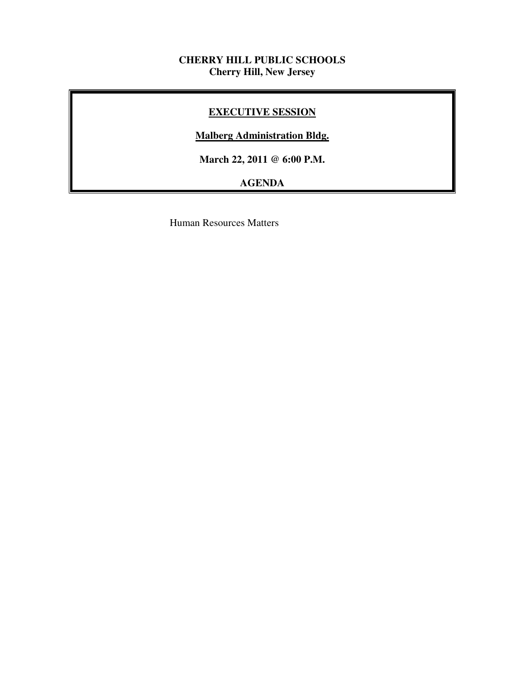# **CHERRY HILL PUBLIC SCHOOLS Cherry Hill, New Jersey**

# **EXECUTIVE SESSION**

# **Malberg Administration Bldg.**

 **March 22, 2011 @ 6:00 P.M.** 

# **AGENDA**

Human Resources Matters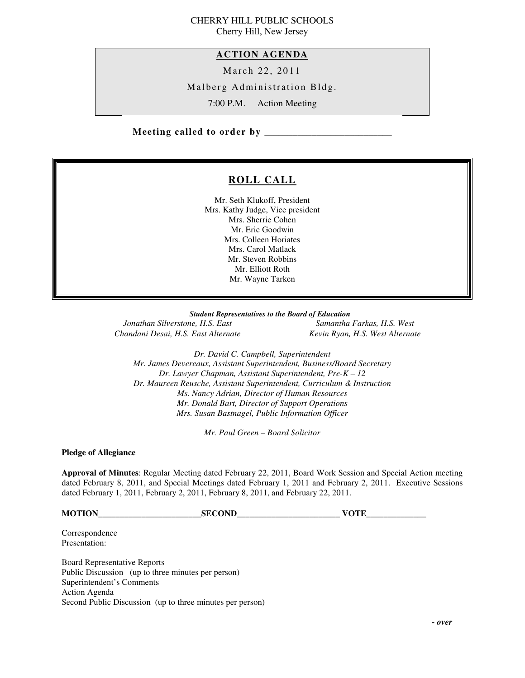### CHERRY HILL PUBLIC SCHOOLS Cherry Hill, New Jersey

## **ACTION AGENDA**

March 22, 2011

Malberg Administration Bldg.

7:00 P.M. Action Meeting

 **Meeting called to order by \_\_\_\_\_\_\_\_\_\_\_\_\_\_\_\_\_\_\_\_\_\_\_\_\_\_\_** 

# **ROLL CALL**

 Mr. Seth Klukoff, President Mrs. Kathy Judge, Vice president Mrs. Sherrie Cohen Mr. Eric Goodwin Mrs. Colleen Horiates Mrs. Carol Matlack Mr. Steven Robbins Mr. Elliott Roth Mr. Wayne Tarken

 *Student Representatives to the Board of Education* 

**Jonathan Silverstone, H.S. East** Chandani Desai, H.S. East Alternate

*Samantha Farkas, H.S. West Chandani Desai, H.S. East Alternate Kevin Ryan, H.S. West Alternate* 

 *Dr. David C. Campbell, Superintendent Mr. James Devereaux, Assistant Superintendent, Business/Board Secretary Dr. Lawyer Chapman, Assistant Superintendent, Pre-K – 12 Dr. Maureen Reusche, Assistant Superintendent, Curriculum & Instruction Ms. Nancy Adrian, Director of Human Resources Mr. Donald Bart, Director of Support Operations Mrs. Susan Bastnagel, Public Information Officer* 

 *Mr. Paul Green – Board Solicitor* 

 **Pledge of Allegiance** 

 **Approval of Minutes**: Regular Meeting dated February 22, 2011, Board Work Session and Special Action meeting dated February 8, 2011, and Special Meetings dated February 1, 2011 and February 2, 2011. Executive Sessions dated February 1, 2011, February 2, 2011, February 8, 2011, and February 22, 2011.

**MOTION\_\_\_\_\_\_\_\_\_\_\_\_\_\_\_\_\_\_\_\_\_\_\_\_SECOND\_\_\_\_\_\_\_\_\_\_\_\_\_\_\_\_\_\_\_\_\_\_\_\_ VOTE\_\_\_\_\_\_\_\_\_\_\_\_\_\_** 

Presentation: Correspondence

Presentation:<br>Board Representative Reports Public Discussion (up to three minutes per person) Superintendent's Comments Action Agenda Second Public Discussion (up to three minutes per person)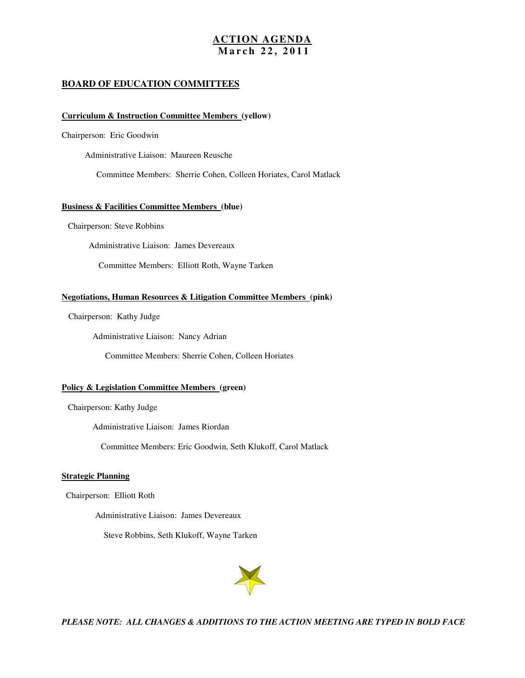### **ACTION AGENDA M a r c h 2 2 , 2 0 1 1**

### **BOARD OF EDUCATION COMMITTEES**

### **Curriculum & Instruction Committee Members (yellow)**

Chairperson: Eric Goodwin

Administrative Liaison: Maureen Reusche

Committee Members: Sherrie Cohen, Colleen Horiates, Carol Matlack

### **Business & Facilities Committee Members (blue)**

Chairperson: Steve Robbins

Administrative Liaison: James Devereaux

Committee Members: Elliott Roth, Wayne Tarken

### **Negotiations, Human Resources & Litigation Committee Members (pink)**

Chairperson: Kathy Judge

Administrative Liaison: Nancy Adrian

Committee Members: Sherrie Cohen, Colleen Horiates

### **Policy & Legislation Committee Members (green)**

Chairperson: Kathy Judge

Administrative Liaison: James Riordan

Committee Members: Eric Goodwin, Seth Klukoff, Carol Matlack

### **Strategic Planning**

Chairperson: Elliott Roth

Administrative Liaison: James Devereaux

Steve Robbins, Seth Klukoff, Wayne Tarken



 *PLEASE NOTE: ALL CHANGES & ADDITIONS TO THE ACTION MEETING ARE TYPED IN BOLD FACE*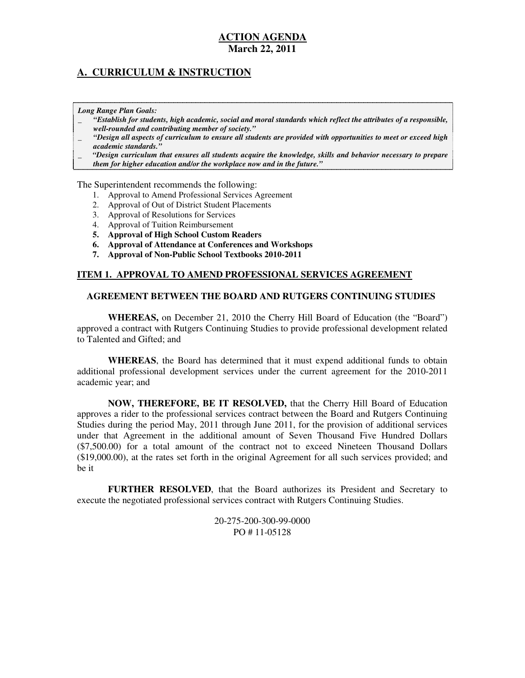# **A. CURRICULUM & INSTRUCTION**

 *Long Range Plan Goals:* 

- \_ *"Establish for students, high academic, social and moral standards which reflect the attributes of a responsible, well-rounded and contributing member of society."*
- \_ *"Design all aspects of curriculum to ensure all students are provided with opportunities to meet or exceed high academic standards."*
- \_ *"Design curriculum that ensures all students acquire the knowledge, skills and behavior necessary to prepare them for higher education and/or the workplace now and in the future."*

The Superintendent recommends the following:

- 1. Approval to Amend Professional Services Agreement
- 2. Approval of Out of District Student Placements
- 3. Approval of Resolutions for Services
- 4. Approval of Tuition Reimbursement
- **5. Approval of High School Custom Readers**
- **6. Approval of Attendance at Conferences and Workshops**
- **7. Approval of Non-Public School Textbooks 2010-2011**

### **ITEM 1. APPROVAL TO AMEND PROFESSIONAL SERVICES AGREEMENT**

### **AGREEMENT BETWEEN THE BOARD AND RUTGERS CONTINUING STUDIES**

 **WHEREAS,** on December 21, 2010 the Cherry Hill Board of Education (the "Board") approved a contract with Rutgers Continuing Studies to provide professional development related to Talented and Gifted; and

 **WHEREAS**, the Board has determined that it must expend additional funds to obtain additional professional development services under the current agreement for the 2010-2011 academic year; and

 **NOW, THEREFORE, BE IT RESOLVED,** that the Cherry Hill Board of Education approves a rider to the professional services contract between the Board and Rutgers Continuing Studies during the period May, 2011 through June 2011, for the provision of additional services under that Agreement in the additional amount of Seven Thousand Five Hundred Dollars (\$7,500.00) for a total amount of the contract not to exceed Nineteen Thousand Dollars (\$19,000.00), at the rates set forth in the original Agreement for all such services provided; and be it

 **FURTHER RESOLVED**, that the Board authorizes its President and Secretary to execute the negotiated professional services contract with Rutgers Continuing Studies.

> PO # 11-05128 20-275-200-300-99-0000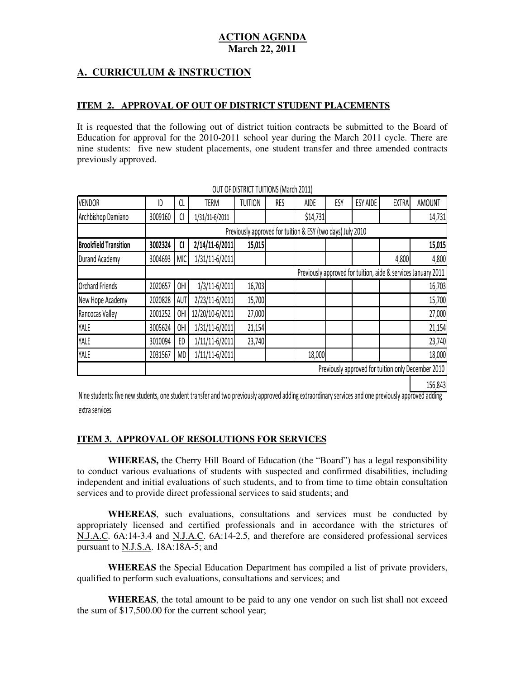# **A. CURRICULUM & INSTRUCTION**

## **ITEM 2. APPROVAL OF OUT OF DISTRICT STUDENT PLACEMENTS**

 It is requested that the following out of district tuition contracts be submitted to the Board of Education for approval for the 2010-2011 school year during the March 2011 cycle. There are nine students: five new student placements, one student transfer and three amended contracts previously approved.

| <b>VENDOR</b>                | ID      | CL         | <b>TERM</b>     | <b>TUITION</b> | RES | <b>AIDE</b>                                                | ESY | <b>ESY AIDE</b> | <b>EXTRA</b> | <b>AMOUNT</b>                                                 |
|------------------------------|---------|------------|-----------------|----------------|-----|------------------------------------------------------------|-----|-----------------|--------------|---------------------------------------------------------------|
| Archbishop Damiano           | 3009160 | CI         | 1/31/11-6/2011  |                |     | \$14,731                                                   |     |                 |              | 14,731                                                        |
|                              |         |            |                 |                |     | Previously approved for tuition & ESY (two days) July 2010 |     |                 |              |                                                               |
| <b>Brookfield Transition</b> | 3002324 | CI         | 2/14/11-6/2011  | 15,015         |     |                                                            |     |                 |              | 15,015                                                        |
| Durand Academy               | 3004693 | <b>MIC</b> | 1/31/11-6/2011  |                |     |                                                            |     |                 | 4,800        | 4,800                                                         |
|                              |         |            |                 |                |     |                                                            |     |                 |              | Previously approved for tuition, aide & services January 2011 |
| <b>Orchard Friends</b>       | 2020657 | OHI        | 1/3/11-6/2011   | 16,703         |     |                                                            |     |                 |              | 16,703                                                        |
| New Hope Academy             | 2020828 | AUT        | 2/23/11-6/2011  | 15,700         |     |                                                            |     |                 |              | 15,700                                                        |
| Rancocas Valley              | 2001252 | OHI        | 12/20/10-6/2011 | 27,000         |     |                                                            |     |                 |              | 27,000                                                        |
| YALE                         | 3005624 | 0HI        | 1/31/11-6/2011  | 21,154         |     |                                                            |     |                 |              | 21,154                                                        |
| YALE                         | 3010094 | ED         | 1/11/11-6/2011  | 23,740         |     |                                                            |     |                 |              | 23,740                                                        |
| YALE                         | 2031567 | <b>MD</b>  | 1/11/11-6/2011  |                |     | 18,000                                                     |     |                 |              | 18,000                                                        |
|                              |         |            |                 |                |     |                                                            |     |                 |              | Previously approved for tuition only December 2010            |
|                              |         |            |                 |                |     |                                                            |     |                 |              | 156,843                                                       |

OUT OF DISTRICT TUITIONS (March 2011)

 Nine students: five new students, one student transfer and two previously approved adding extraordinary services and one previously approved adding extra services

### **ITEM 3. APPROVAL OF RESOLUTIONS FOR SERVICES**

 **WHEREAS,** the Cherry Hill Board of Education (the "Board") has a legal responsibility to conduct various evaluations of students with suspected and confirmed disabilities, including independent and initial evaluations of such students, and to from time to time obtain consultation services and to provide direct professional services to said students; and

 **WHEREAS**, such evaluations, consultations and services must be conducted by appropriately licensed and certified professionals and in accordance with the strictures of  $\hat{N}$ J.A.C. 6A:14-3.4 and N.J.A.C. 6A:14-2.5, and therefore are considered professional services pursuant to N.J.S.A.  $18A:18A-5$ ; and

 **WHEREAS** the Special Education Department has compiled a list of private providers, qualified to perform such evaluations, consultations and services; and

 **WHEREAS**, the total amount to be paid to any one vendor on such list shall not exceed the sum of  $$17,500.00$  for the current school year;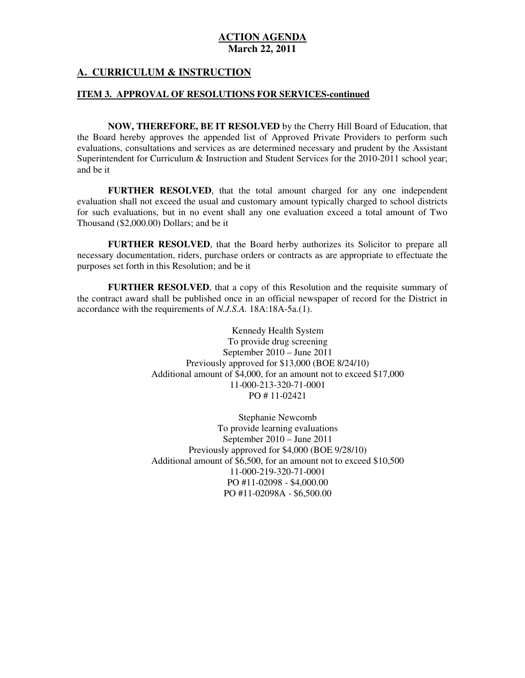# **A. CURRICULUM & INSTRUCTION**

### **ITEM 3. APPROVAL OF RESOLUTIONS FOR SERVICES-continued**

 **NOW, THEREFORE, BE IT RESOLVED** by the Cherry Hill Board of Education, that the Board hereby approves the appended list of Approved Private Providers to perform such evaluations, consultations and services as are determined necessary and prudent by the Assistant Superintendent for Curriculum & Instruction and Student Services for the 2010-2011 school year; and be it

 **FURTHER RESOLVED**, that the total amount charged for any one independent evaluation shall not exceed the usual and customary amount typically charged to school districts for such evaluations, but in no event shall any one evaluation exceed a total amount of Two Thousand (\$2,000.00) Dollars; and be it

 **FURTHER RESOLVED**, that the Board herby authorizes its Solicitor to prepare all necessary documentation, riders, purchase orders or contracts as are appropriate to effectuate the purposes set forth in this Resolution; and be it

 **FURTHER RESOLVED**, that a copy of this Resolution and the requisite summary of the contract award shall be published once in an official newspaper of record for the District in accordance with the requirements of *N.J.S.A.* 18A:18A-5a.(1).

> Kennedy Health System To provide drug screening September 2010 – June 2011 Previously approved for \$13,000 (BOE 8/24/10) Additional amount of \$4,000, for an amount not to exceed \$17,000 PO # 11-02421 11-000-213-320-71-0001

> Stephanie Newcomb To provide learning evaluations September 2010 – June 2011 Previously approved for \$4,000 (BOE 9/28/10) Additional amount of \$6,500, for an amount not to exceed \$10,500 PO #11-02098 - \$4,000.00 PO #11-02098A - \$6,500.00 11-000-219-320-71-0001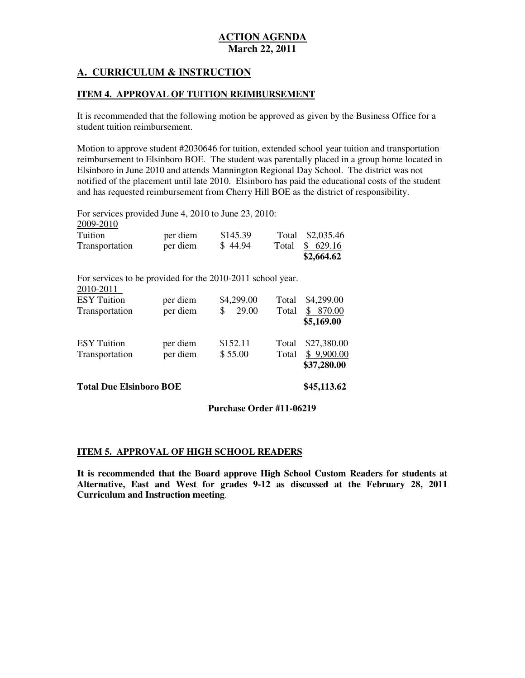# **A. CURRICULUM & INSTRUCTION**

# **ITEM 4. APPROVAL OF TUITION REIMBURSEMENT**

 It is recommended that the following motion be approved as given by the Business Office for a student tuition reimbursement.

 Motion to approve student #2030646 for tuition, extended school year tuition and transportation reimbursement to Elsinboro BOE. The student was parentally placed in a group home located in Elsinboro in June 2010 and attends Mannington Regional Day School. The district was not notified of the placement until late 2010. Elsinboro has paid the educational costs of the student and has requested reimbursement from Cherry Hill BOE as the district of responsibility.

 For services provided June 4, 2010 to June 23, 2010: Tuition Transportation For services to be provided for the 2010-2011 school year. 2010-2011 **ESY** Tuition Transportation **ESY Tuition** Transportation 2009-2010 per diem \$145.39 Total \$2,035.46 per diem  $$ 44.94$  Total  $$ 629.16$ **\$2,664.62**  per diem  $$4,299.00$  Total \$4,299.00 per diem  $$ 29.00$  Total  $$ 870.00$ **\$5,169.00**  per diem \$152.11 Total \$27,380.00 per diem  $$ 55.00$  Total  $$ 9,900.00$ **\$37,280.00** 

 **Total Due Elsinboro BOE \$45,113.62** 

# **Purchase Order #11-06219**

### **ITEM 5. APPROVAL OF HIGH SCHOOL READERS**

 **It is recommended that the Board approve High School Custom Readers for students at Alternative, East and West for grades 9-12 as discussed at the February 28, 2011 Curriculum and Instruction meeting**.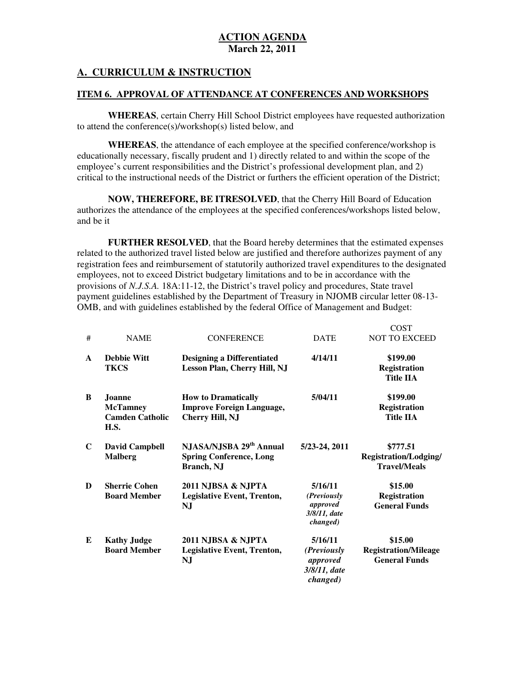# **A. CURRICULUM & INSTRUCTION**

## **ITEM 6. APPROVAL OF ATTENDANCE AT CONFERENCES AND WORKSHOPS**

 **WHEREAS**, certain Cherry Hill School District employees have requested authorization to attend the conference(s)/workshop(s) listed below, and

 **WHEREAS**, the attendance of each employee at the specified conference/workshop is educationally necessary, fiscally prudent and 1) directly related to and within the scope of the employee's current responsibilities and the District's professional development plan, and 2) critical to the instructional needs of the District or furthers the efficient operation of the District;

 **NOW, THEREFORE, BE ITRESOLVED**, that the Cherry Hill Board of Education authorizes the attendance of the employees at the specified conferences/workshops listed below, and be it

 **FURTHER RESOLVED**, that the Board hereby determines that the estimated expenses related to the authorized travel listed below are justified and therefore authorizes payment of any registration fees and reimbursement of statutorily authorized travel expenditures to the designated employees, not to exceed District budgetary limitations and to be in accordance with the provisions of *N.J.S.A.* 18A:11-12, the District's travel policy and procedures, State travel payment guidelines established by the Department of Treasury in NJOMB circular letter 08-13 OMB, and with guidelines established by the federal Office of Management and Budget:

 $C$  $C$  $T$ 

|              |                                                                    |                                                                                          |                                                                        | UUJ 1                                                           |
|--------------|--------------------------------------------------------------------|------------------------------------------------------------------------------------------|------------------------------------------------------------------------|-----------------------------------------------------------------|
| #            | <b>NAME</b>                                                        | <b>CONFERENCE</b>                                                                        | <b>DATE</b>                                                            | <b>NOT TO EXCEED</b>                                            |
| $\mathbf{A}$ | <b>Debbie Witt</b><br><b>TKCS</b>                                  | <b>Designing a Differentiated</b><br>Lesson Plan, Cherry Hill, NJ                        | 4/14/11                                                                | \$199.00<br><b>Registration</b><br><b>Title IIA</b>             |
| B            | Joanne<br><b>McTamney</b><br><b>Camden Catholic</b><br><b>H.S.</b> | <b>How to Dramatically</b><br><b>Improve Foreign Language,</b><br><b>Cherry Hill, NJ</b> | 5/04/11                                                                | \$199.00<br><b>Registration</b><br><b>Title IIA</b>             |
| $\mathbf C$  | <b>David Campbell</b><br><b>Malberg</b>                            | NJASA/NJSBA 29 <sup>th</sup> Annual<br><b>Spring Conference, Long</b><br>Branch, NJ      | 5/23-24, 2011                                                          | \$777.51<br><b>Registration/Lodging/</b><br><b>Travel/Meals</b> |
| D            | <b>Sherrie Cohen</b><br><b>Board Member</b>                        | 2011 NJBSA & NJPTA<br><b>Legislative Event, Trenton,</b><br>NJ                           | 5/16/11<br>(Previously<br>approved<br>3/8/11, date<br><i>changed</i> ) | \$15.00<br><b>Registration</b><br><b>General Funds</b>          |
| E            | <b>Kathy Judge</b><br><b>Board Member</b>                          | 2011 NJBSA & NJPTA<br><b>Legislative Event, Trenton,</b><br>NJ                           | 5/16/11<br>( <i>Previously</i><br>approved<br>3/8/11, date<br>changed) | \$15.00<br><b>Registration/Mileage</b><br><b>General Funds</b>  |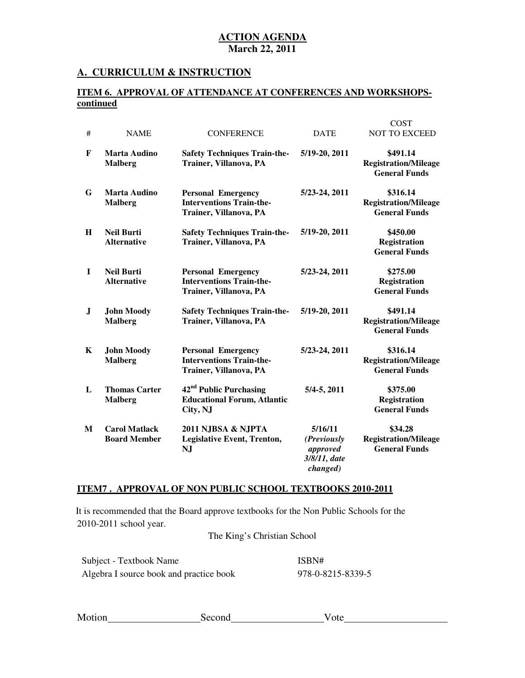## **A. CURRICULUM & INSTRUCTION**

### **ITEM 6. APPROVAL OF ATTENDANCE AT CONFERENCES AND WORKSHOPScontinued**

 $C<sub>CD</sub>$ 

| #            | <b>NAME</b>                                 | <b>CONFERENCE</b>                                                                      | <b>DATE</b>                                                    | COS 1<br>NOT TO EXCEED                                          |
|--------------|---------------------------------------------|----------------------------------------------------------------------------------------|----------------------------------------------------------------|-----------------------------------------------------------------|
| F            | <b>Marta Audino</b><br><b>Malberg</b>       | <b>Safety Techniques Train-the-</b><br>Trainer, Villanova, PA                          | 5/19-20, 2011                                                  | \$491.14<br><b>Registration/Mileage</b><br><b>General Funds</b> |
| G            | Marta Audino<br><b>Malberg</b>              | <b>Personal Emergency</b><br><b>Interventions Train-the-</b><br>Trainer, Villanova, PA | 5/23-24, 2011                                                  | \$316.14<br><b>Registration/Mileage</b><br><b>General Funds</b> |
| H            | <b>Neil Burti</b><br><b>Alternative</b>     | <b>Safety Techniques Train-the-</b><br>Trainer, Villanova, PA                          | 5/19-20, 2011                                                  | \$450.00<br><b>Registration</b><br><b>General Funds</b>         |
| $\mathbf{I}$ | <b>Neil Burti</b><br><b>Alternative</b>     | <b>Personal Emergency</b><br><b>Interventions Train-the-</b><br>Trainer, Villanova, PA | 5/23-24, 2011                                                  | \$275.00<br><b>Registration</b><br><b>General Funds</b>         |
| ${\bf J}$    | <b>John Moody</b><br><b>Malberg</b>         | <b>Safety Techniques Train-the-</b><br>Trainer, Villanova, PA                          | 5/19-20, 2011                                                  | \$491.14<br><b>Registration/Mileage</b><br><b>General Funds</b> |
| K            | <b>John Moody</b><br><b>Malberg</b>         | <b>Personal Emergency</b><br><b>Interventions Train-the-</b><br>Trainer, Villanova, PA | 5/23-24, 2011                                                  | \$316.14<br><b>Registration/Mileage</b><br><b>General Funds</b> |
| L            | <b>Thomas Carter</b><br><b>Malberg</b>      | 42 <sup>nd</sup> Public Purchasing<br><b>Educational Forum, Atlantic</b><br>City, NJ   | $5/4 - 5$ , 2011                                               | \$375.00<br><b>Registration</b><br><b>General Funds</b>         |
| M            | <b>Carol Matlack</b><br><b>Board Member</b> | 2011 NJBSA & NJPTA<br>Legislative Event, Trenton,<br><b>NJ</b>                         | 5/16/11<br>(Previously<br>approved<br>3/8/11, date<br>changed) | \$34.28<br><b>Registration/Mileage</b><br><b>General Funds</b>  |

### **ITEM7 . APPROVAL OF NON PUBLIC SCHOOL TEXTBOOKS 2010-2011**

 2010-2011 school year. It is recommended that the Board approve textbooks for the Non Public Schools for the

The King's Christian School

| Subject - Textbook Name                 |  |
|-----------------------------------------|--|
| Algebra I source book and practice book |  |

ISBN# 978-0-8215-8339-5

| Motion | Second | ole |  |
|--------|--------|-----|--|
|        |        |     |  |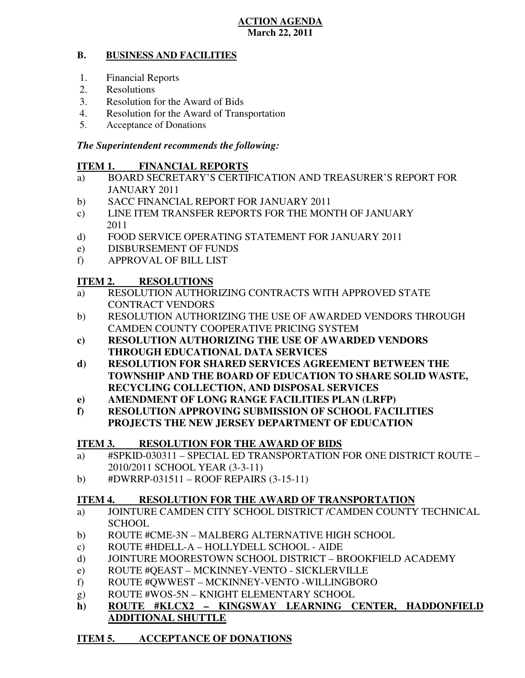#### **B. BUSINESS AND FACILITIES**

- 1. Financial Reports
- 2. Resolutions
- 3. Resolution for the Award of Bids
- 4. Resolution for the Award of Transportation
- 5. Acceptance of Donations

# *The Superintendent recommends the following:*

#### **ITEM 1. FINANCIAL REPORTS**

- a) BOARD SECRETARY'S CERTIFICATION AND TREASURER'S REPORT FOR JANUARY 2011
- $b)$ SACC FINANCIAL REPORT FOR JANUARY 2011
- $c)$ LINE ITEM TRANSFER REPORTS FOR THE MONTH OF JANUARY 2011
- $\mathbf{d}$ FOOD SERVICE OPERATING STATEMENT FOR JANUARY 2011
- e) DISBURSEMENT OF FUNDS
- f) APPROVAL OF BILL LIST

#### **ITEM 2. RESOLUTIONS**

- a) RESOLUTION AUTHORIZING CONTRACTS WITH APPROVED STATE CONTRACT VENDORS
- b) RESOLUTION AUTHORIZING THE USE OF AWARDED VENDORS THROUGH CAMDEN COUNTY COOPERATIVE PRICING SYSTEM
- **c) RESOLUTION AUTHORIZING THE USE OF AWARDED VENDORS THROUGH EDUCATIONAL DATA SERVICES**
- **d) RESOLUTION FOR SHARED SERVICES AGREEMENT BETWEEN THE TOWNSHIP AND THE BOARD OF EDUCATION TO SHARE SOLID WASTE, RECYCLING COLLECTION, AND DISPOSAL SERVICES**
- **e) AMENDMENT OF LONG RANGE FACILITIES PLAN (LRFP)**
- **f) RESOLUTION APPROVING SUBMISSION OF SCHOOL FACILITIES PROJECTS THE NEW JERSEY DEPARTMENT OF EDUCATION**

#### **ITEM 3. RESOLUTION FOR THE AWARD OF BIDS**

- a) #SPKID-030311 SPECIAL ED TRANSPORTATION FOR ONE DISTRICT ROUTE 2010/2011 SCHOOL YEAR (3-3-11)
- b)  $\#DWRRP-031511 ROOF REPRESENTS (3-15-11)$

#### **ITEM 4. RESOLUTION FOR THE AWARD OF TRANSPORTATION**

- a) JOINTURE CAMDEN CITY SCHOOL DISTRICT /CAMDEN COUNTY TECHNICAL **SCHOOL**
- b) ROUTE #CME-3N MALBERG ALTERNATIVE HIGH SCHOOL
- c) ROUTE #HDELL-A HOLLYDELL SCHOOL AIDE
- d) JOINTURE MOORESTOWN SCHOOL DISTRICT BROOKFIELD ACADEMY
- e) ROUTE #QEAST MCKINNEY-VENTO SICKLERVILLE
- f) ROUTE #QWWEST MCKINNEY-VENTO -WILLINGBORO
- g) ROUTE #WOS-5N KNIGHT ELEMENTARY SCHOOL
- **h) ROUTE #KLCX2 KINGSWAY LEARNING CENTER, HADDONFIELD ADDITIONAL SHUTTLE**

#### **ITEM 5. ACCEPTANCE OF DONATIONS**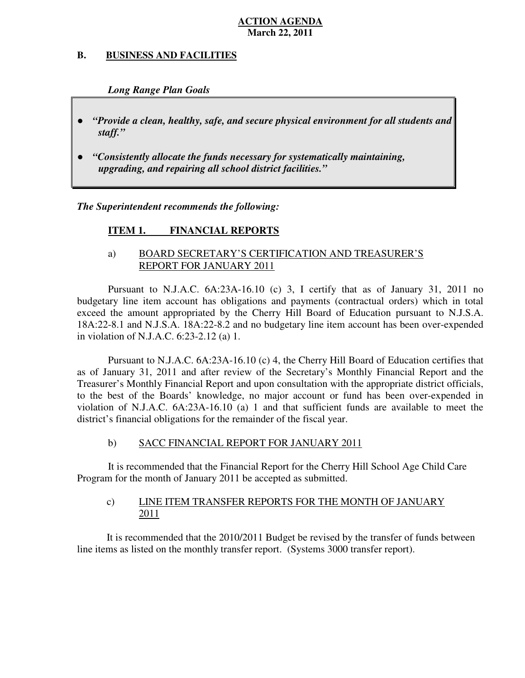#### **B. B. BUSINESS AND FACILITIES**

 *Long Range Plan Goals* 

- *"Provide a clean, healthy, safe, and secure physical environment for all students and staff."*
- *upgrading, and repairing all school district facilities."*  ● *"Consistently allocate the funds necessary for systematically maintaining,*

 *The Superintendent recommends the following:* 

#### **ITEM 1. FINANCIAL REPORTS**

# a) BOARD SECRETARY'S CERTIFICATION AND TREASURER'S REPORT FOR JANUARY 2011

 Pursuant to N.J.A.C. 6A:23A-16.10 (c) 3, I certify that as of January 31, 2011 no budgetary line item account has obligations and payments (contractual orders) which in total exceed the amount appropriated by the Cherry Hill Board of Education pursuant to N.J.S.A. 18A:22-8.1 and N.J.S.A. 18A:22-8.2 and no budgetary line item account has been over-expended in violation of N.J.A.C. 6:23-2.12 (a) 1.

 Pursuant to N.J.A.C. 6A:23A-16.10 (c) 4, the Cherry Hill Board of Education certifies that as of January 31, 2011 and after review of the Secretary's Monthly Financial Report and the Treasurer's Monthly Financial Report and upon consultation with the appropriate district officials, to the best of the Boards' knowledge, no major account or fund has been over-expended in violation of N.J.A.C.  $6A:23A-16.10$  (a) 1 and that sufficient funds are available to meet the district's financial obligations for the remainder of the fiscal year.

#### $b)$ b) SACC FINANCIAL REPORT FOR JANUARY 2011

 It is recommended that the Financial Report for the Cherry Hill School Age Child Care Program for the month of January 2011 be accepted as submitted.

#### $c)$ LINE ITEM TRANSFER REPORTS FOR THE MONTH OF JANUARY 2011

 It is recommended that the 2010/2011 Budget be revised by the transfer of funds between line items as listed on the monthly transfer report. (Systems 3000 transfer report).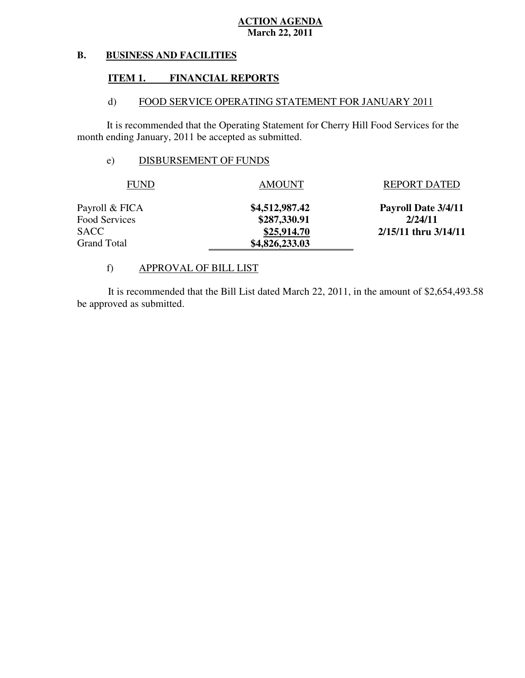#### **B. BUSINESS AND FACILITIES**

#### **ITEM 1. FINANCIAL REPORTS**

#### $\mathbf{d}$ FOOD SERVICE OPERATING STATEMENT FOR JANUARY 2011

 It is recommended that the Operating Statement for Cherry Hill Food Services for the month ending January, 2011 be accepted as submitted.

# e) DISBURSEMENT OF FUNDS

| <b>FUND</b>          | <b>AMOUNT</b>  | <b>REPORT DATED</b>      |
|----------------------|----------------|--------------------------|
| Payroll & FICA       | \$4,512,987.42 | Payroll Date 3/4/11      |
| <b>Food Services</b> | \$287,330.91   | 2/24/11                  |
| SACC                 | \$25,914.70    | $2/15/11$ thru $3/14/11$ |
| <b>Grand Total</b>   | \$4,826,233.03 |                          |

# f) APPROVAL OF BILL LIST

 be approved as submitted. It is recommended that the Bill List dated March 22, 2011, in the amount of \$2,654,493.58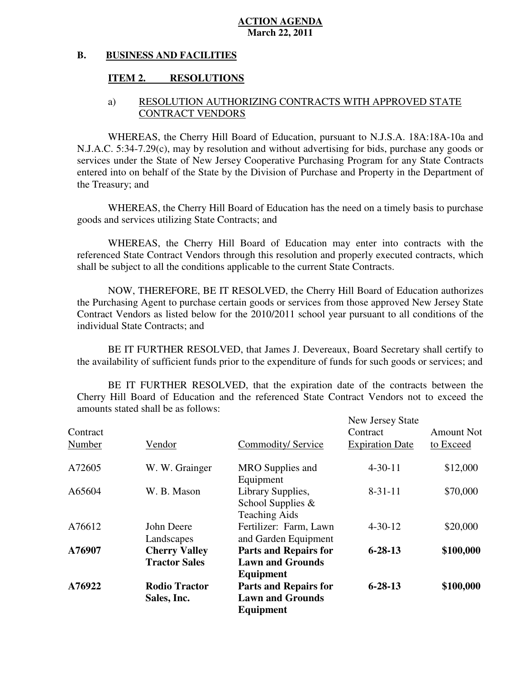#### **B. BUSINESS AND FACILITIES**

#### **ITEM 2. RESOLUTIONS**

# a) RESOLUTION AUTHORIZING CONTRACTS WITH APPROVED STATE CONTRACT VENDORS

 WHEREAS, the Cherry Hill Board of Education, pursuant to N.J.S.A. 18A:18A-10a and N.J.A.C. 5:34-7.29(c), may by resolution and without advertising for bids, purchase any goods or services under the State of New Jersey Cooperative Purchasing Program for any State Contracts entered into on behalf of the State by the Division of Purchase and Property in the Department of the Treasury; and

 WHEREAS, the Cherry Hill Board of Education has the need on a timely basis to purchase goods and services utilizing State Contracts; and

 WHEREAS, the Cherry Hill Board of Education may enter into contracts with the referenced State Contract Vendors through this resolution and properly executed contracts, which shall be subject to all the conditions applicable to the current State Contracts.

 NOW, THEREFORE, BE IT RESOLVED, the Cherry Hill Board of Education authorizes the Purchasing Agent to purchase certain goods or services from those approved New Jersey State Contract Vendors as listed below for the 2010/2011 school year pursuant to all conditions of the individual State Contracts; and

 the availability of sufficient funds prior to the expenditure of funds for such goods or services; and BE IT FURTHER RESOLVED, that James J. Devereaux, Board Secretary shall certify to

 Cherry Hill Board of Education and the referenced State Contract Vendors not to exceed the amounts stated shall be as follows: BE IT FURTHER RESOLVED, that the expiration date of the contracts between the

| Contract<br>Number | Vendor                                       | Commodity/Service                                                    | New Jersey State<br>Contract<br><b>Expiration Date</b> | <b>Amount Not</b><br>to Exceed |
|--------------------|----------------------------------------------|----------------------------------------------------------------------|--------------------------------------------------------|--------------------------------|
| A72605             | W. W. Grainger                               | MRO Supplies and<br>Equipment                                        | $4 - 30 - 11$                                          | \$12,000                       |
| A65604             | W. B. Mason                                  | Library Supplies,<br>School Supplies $\&$<br><b>Teaching Aids</b>    | $8 - 31 - 11$                                          | \$70,000                       |
| A76612             | John Deere<br>Landscapes                     | Fertilizer: Farm, Lawn<br>and Garden Equipment                       | $4 - 30 - 12$                                          | \$20,000                       |
| A76907             | <b>Cherry Valley</b><br><b>Tractor Sales</b> | <b>Parts and Repairs for</b><br><b>Lawn and Grounds</b><br>Equipment | $6 - 28 - 13$                                          | \$100,000                      |
| A76922             | <b>Rodio Tractor</b><br>Sales, Inc.          | <b>Parts and Repairs for</b><br><b>Lawn and Grounds</b><br>Equipment | $6 - 28 - 13$                                          | \$100,000                      |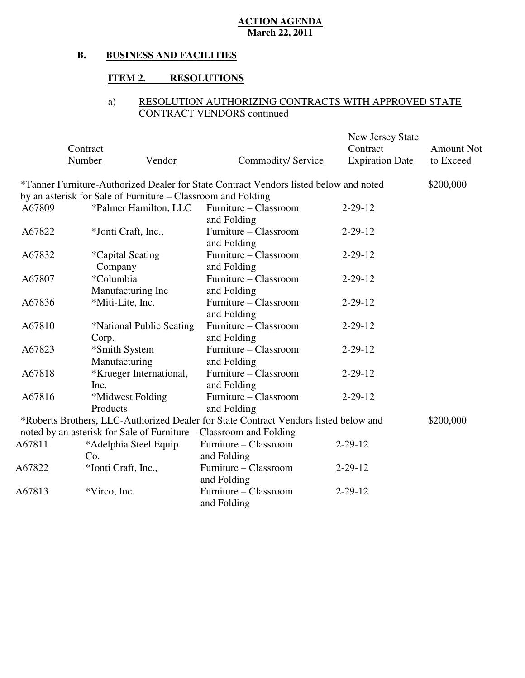#### **B. BUSINESS AND FACILITIES**

# **ITEM 2. RESOLUTIONS**

# a) RESOLUTION AUTHORIZING CONTRACTS WITH APPROVED STATE CONTRACT VENDORS continued

|        |                                                                                       |                           | New Jersey State       |                   |
|--------|---------------------------------------------------------------------------------------|---------------------------|------------------------|-------------------|
|        | Contract                                                                              |                           | Contract               | <b>Amount Not</b> |
|        | <b>Number</b><br>Vendor                                                               | <b>Commodity/ Service</b> | <b>Expiration Date</b> | to Exceed         |
|        | *Tanner Furniture-Authorized Dealer for State Contract Vendors listed below and noted |                           |                        | \$200,000         |
|        | by an asterisk for Sale of Furniture – Classroom and Folding                          |                           |                        |                   |
| A67809 | *Palmer Hamilton, LLC                                                                 | Furniture – Classroom     | $2 - 29 - 12$          |                   |
|        |                                                                                       | and Folding               |                        |                   |
| A67822 | *Jonti Craft, Inc.,                                                                   | Furniture - Classroom     | $2 - 29 - 12$          |                   |
|        |                                                                                       | and Folding               |                        |                   |
| A67832 | <i>*</i> Capital Seating                                                              | Furniture - Classroom     | $2 - 29 - 12$          |                   |
|        | Company                                                                               | and Folding               |                        |                   |
| A67807 | *Columbia                                                                             | Furniture - Classroom     | $2 - 29 - 12$          |                   |
|        | Manufacturing Inc                                                                     | and Folding               |                        |                   |
| A67836 | *Miti-Lite, Inc.                                                                      | Furniture - Classroom     | $2 - 29 - 12$          |                   |
|        |                                                                                       | and Folding               |                        |                   |
| A67810 | *National Public Seating                                                              | Furniture - Classroom     | $2 - 29 - 12$          |                   |
|        | Corp.                                                                                 | and Folding               |                        |                   |
| A67823 | *Smith System                                                                         | Furniture - Classroom     | $2 - 29 - 12$          |                   |
|        | Manufacturing                                                                         | and Folding               |                        |                   |
| A67818 | *Krueger International,                                                               | Furniture - Classroom     | $2 - 29 - 12$          |                   |
|        | Inc.                                                                                  | and Folding               |                        |                   |
| A67816 | *Midwest Folding                                                                      | Furniture – Classroom     | $2 - 29 - 12$          |                   |
|        | Products                                                                              | and Folding               |                        |                   |
|        | *Roberts Brothers, LLC-Authorized Dealer for State Contract Vendors listed below and  |                           |                        | \$200,000         |
|        | noted by an asterisk for Sale of Furniture - Classroom and Folding                    |                           |                        |                   |
| A67811 | *Adelphia Steel Equip.                                                                | Furniture - Classroom     | $2 - 29 - 12$          |                   |
|        | Co.                                                                                   | and Folding               |                        |                   |
| A67822 | *Jonti Craft, Inc.,                                                                   | Furniture – Classroom     | $2 - 29 - 12$          |                   |
|        |                                                                                       | and Folding               |                        |                   |
| A67813 | *Virco, Inc.                                                                          | Furniture - Classroom     | $2 - 29 - 12$          |                   |
|        |                                                                                       | and Folding               |                        |                   |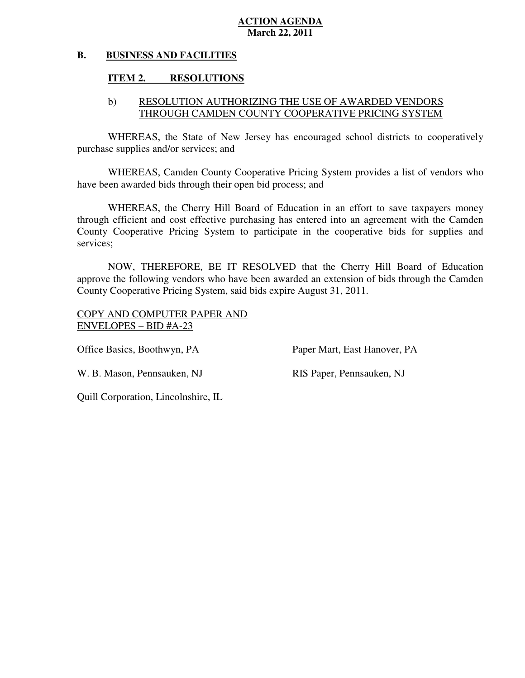#### **B. BUSINESS AND FACILITIES**

#### **ITEM 2. RESOLUTIONS**

# b) RESOLUTION AUTHORIZING THE USE OF AWARDED VENDORS THROUGH CAMDEN COUNTY COOPERATIVE PRICING SYSTEM

 WHEREAS, the State of New Jersey has encouraged school districts to cooperatively purchase supplies and/or services; and

 WHEREAS, Camden County Cooperative Pricing System provides a list of vendors who have been awarded bids through their open bid process; and

 WHEREAS, the Cherry Hill Board of Education in an effort to save taxpayers money through efficient and cost effective purchasing has entered into an agreement with the Camden County Cooperative Pricing System to participate in the cooperative bids for supplies and services;

 NOW, THEREFORE, BE IT RESOLVED that the Cherry Hill Board of Education approve the following vendors who have been awarded an extension of bids through the Camden County Cooperative Pricing System, said bids expire August 31, 2011.

 COPY AND COMPUTER PAPER AND ENVELOPES – BID #A-23

Office Basics, Boothwyn, PA

Paper Mart, East Hanover, PA

W. B. Mason, Pennsauken, NJ RIS Paper, Pennsauken, NJ

Quill Corporation, Lincolnshire, IL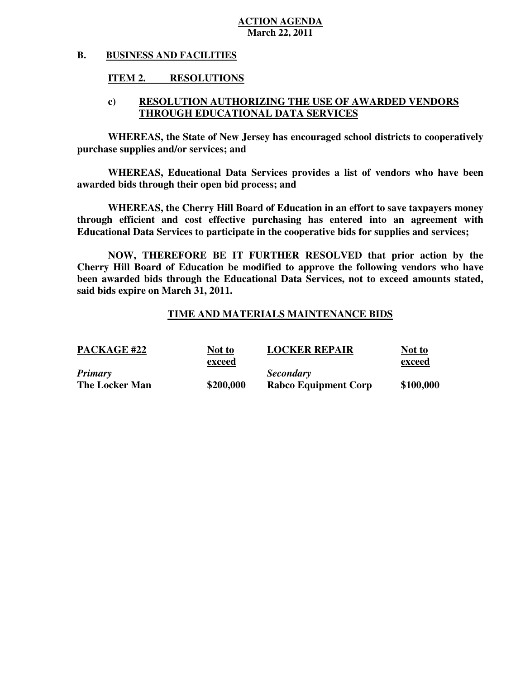#### **B. BUSINESS AND FACILITIES**

#### **ITEM 2. RESOLUTIONS**

# **c) RESOLUTION AUTHORIZING THE USE OF AWARDED VENDORS THROUGH EDUCATIONAL DATA SERVICES**

 **WHEREAS, the State of New Jersey has encouraged school districts to cooperatively purchase supplies and/or services; and** 

 **WHEREAS, Educational Data Services provides a list of vendors who have been awarded bids through their open bid process; and** 

 **WHEREAS, the Cherry Hill Board of Education in an effort to save taxpayers money through efficient and cost effective purchasing has entered into an agreement with Educational Data Services to participate in the cooperative bids for supplies and services;** 

 **NOW, THEREFORE BE IT FURTHER RESOLVED that prior action by the Cherry Hill Board of Education be modified to approve the following vendors who have been awarded bids through the Educational Data Services, not to exceed amounts stated, said bids expire on March 31, 2011.** 

# **TIME AND MATERIALS MAINTENANCE BIDS**

| <b>PACKAGE #22</b>    | Not to    | <b>LOCKER REPAIR</b>        | Not to    |
|-----------------------|-----------|-----------------------------|-----------|
|                       | exceed    |                             | exceed    |
| <b>Primary</b>        |           | <b>Secondary</b>            |           |
| <b>The Locker Man</b> | \$200,000 | <b>Rabco Equipment Corp</b> | \$100,000 |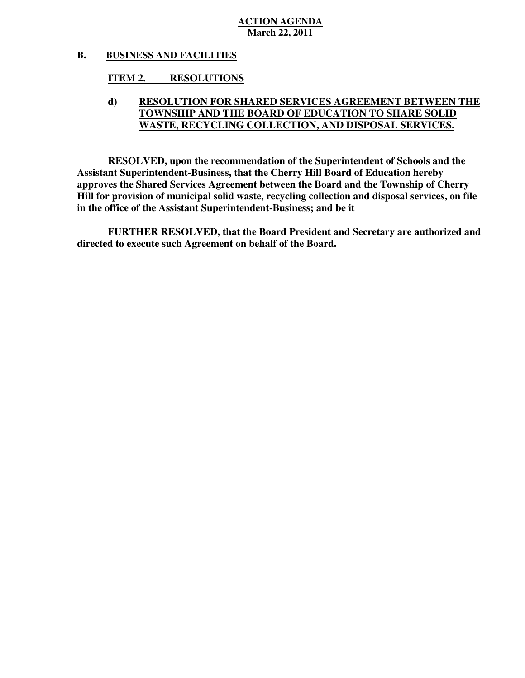#### **B. BUSINESS AND FACILITIES**

#### **ITEM 2. RESOLUTIONS**

# **d) RESOLUTION FOR SHARED SERVICES AGREEMENT BETWEEN THE TOWNSHIP AND THE BOARD OF EDUCATION TO SHARE SOLID WASTE, RECYCLING COLLECTION, AND DISPOSAL SERVICES.**

 **RESOLVED, upon the recommendation of the Superintendent of Schools and the Assistant Superintendent-Business, that the Cherry Hill Board of Education hereby approves the Shared Services Agreement between the Board and the Township of Cherry Hill for provision of municipal solid waste, recycling collection and disposal services, on file in the office of the Assistant Superintendent-Business; and be it** 

 **FURTHER RESOLVED, that the Board President and Secretary are authorized and directed to execute such Agreement on behalf of the Board.**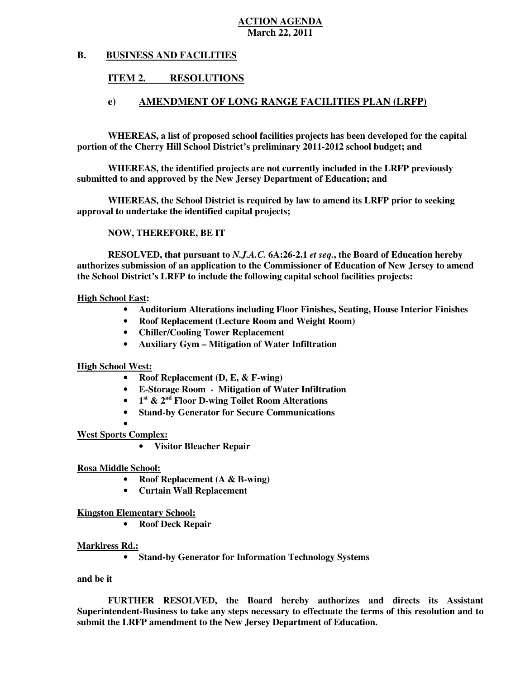#### **B. B. BUSINESS AND FACILITIES**

#### **ITEM 2. RESOLUTIONS**

### **e) AMENDMENT OF LONG RANGE FACILITIES PLAN (LRFP)**

 **WHEREAS, a list of proposed school facilities projects has been developed for the capital portion of the Cherry Hill School District's preliminary 2011-2012 school budget; and** 

 **WHEREAS, the identified projects are not currently included in the LRFP previously submitted to and approved by the New Jersey Department of Education; and** 

 **WHEREAS, the School District is required by law to amend its LRFP prior to seeking approval to undertake the identified capital projects;** 

 **NOW, THEREFORE, BE IT** 

 **RESOLVED, that pursuant to** *N.J.A.C.* **6A:26-2.1** *et seq.***, the Board of Education hereby authorizes submission of an application to the Commissioner of Education of New Jersey to amend the School District's LRFP to include the following capital school facilities projects:** 

### **High School East:**

- **Auditorium Alterations including Floor Finishes, Seating, House Interior Finishes**
- **Roof Replacement (Lecture Room and Weight Room)**
- **Chiller/Cooling Tower Replacement**
- **Auxiliary Gym Mitigation of Water Infiltration**

 **High School West:** 

- **Roof Replacement (D, E, & F-wing)**
- **E-Storage Room Mitigation of Water Infiltration**
- **•** 1<sup>st</sup> & 2<sup>nd</sup> Floor D-wing Toilet Room Alterations
- **Stand-by Generator for Secure Communications**

# **West Sports Complex:**  •

 • **Visitor Bleacher Repair** 

### **Rosa Middle School:**

- **Roof Replacement (A & B-wing)**
- **Curtain Wall Replacement**

### **Kingston Elementary School:**

 • **Roof Deck Repair** 

### **Marklress Rd.:**

 • **Stand-by Generator for Information Technology Systems** 

### **and be it**

 **FURTHER RESOLVED, the Board hereby authorizes and directs its Assistant Superintendent-Business to take any steps necessary to effectuate the terms of this resolution and to submit the LRFP amendment to the New Jersey Department of Education.**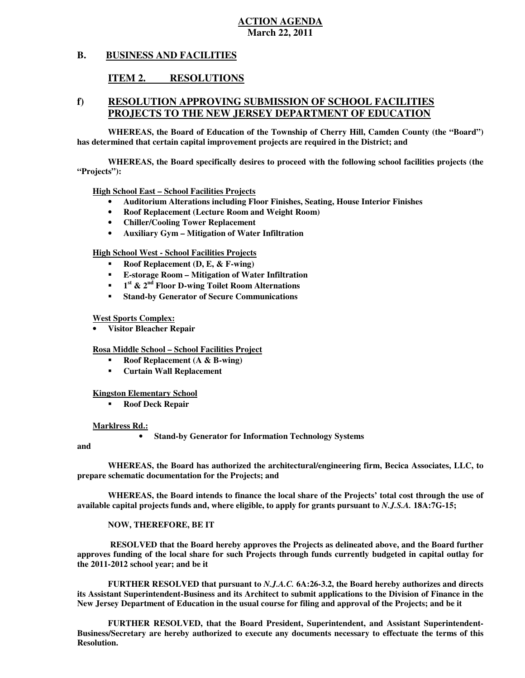#### **B. BUSINESS AND FACILITIES**

#### **ITEM 2. RESOLUTIONS**

# **f) RESOLUTION APPROVING SUBMISSION OF SCHOOL FACILITIES PROJECTS TO THE NEW JERSEY DEPARTMENT OF EDUCATION**

 **WHEREAS, the Board of Education of the Township of Cherry Hill, Camden County (the "Board") has determined that certain capital improvement projects are required in the District; and** 

 **WHEREAS, the Board specifically desires to proceed with the following school facilities projects (the "Projects"):** 

 **High School East – School Facilities Projects** 

- **Auditorium Alterations including Floor Finishes, Seating, House Interior Finishes**
- **Roof Replacement (Lecture Room and Weight Room)**
- **Chiller/Cooling Tower Replacement**
- **Auxiliary Gym Mitigation of Water Infiltration**

 **High School West - School Facilities Projects** 

- � **Roof Replacement (D, E, & F-wing)**
- � **E-storage Room Mitigation of Water Infiltration**
- **1**<sup>st</sup> & 2<sup>nd</sup> Floor D-wing Toilet Room Alternations
- � **Stand-by Generator of Secure Communications**

### **West Sports Complex:**

 • **Visitor Bleacher Repair** 

 **Rosa Middle School – School Facilities Project** 

- � **Roof Replacement (A & B-wing)**
- � **Curtain Wall Replacement**

### **Kingston Elementary School**

 � **Roof Deck Repair** 

### **Marklress Rd.:**

 • **Stand-by Generator for Information Technology Systems** 

### **and**

 **WHEREAS, the Board has authorized the architectural/engineering firm, Becica Associates, LLC, to prepare schematic documentation for the Projects; and** 

 **WHEREAS, the Board intends to finance the local share of the Projects' total cost through the use of available capital projects funds and, where eligible, to apply for grants pursuant to** *N.J.S.A.* **18A:7G-15;** 

 **NOW, THEREFORE, BE IT** 

 **RESOLVED that the Board hereby approves the Projects as delineated above, and the Board further approves funding of the local share for such Projects through funds currently budgeted in capital outlay for the 2011-2012 school year; and be it** 

 **FURTHER RESOLVED that pursuant to** *N.J.A.C.* **6A:26-3.2, the Board hereby authorizes and directs its Assistant Superintendent-Business and its Architect to submit applications to the Division of Finance in the New Jersey Department of Education in the usual course for filing and approval of the Projects; and be it** 

 **FURTHER RESOLVED, that the Board President, Superintendent, and Assistant Superintendent- Business/Secretary are hereby authorized to execute any documents necessary to effectuate the terms of this Resolution.**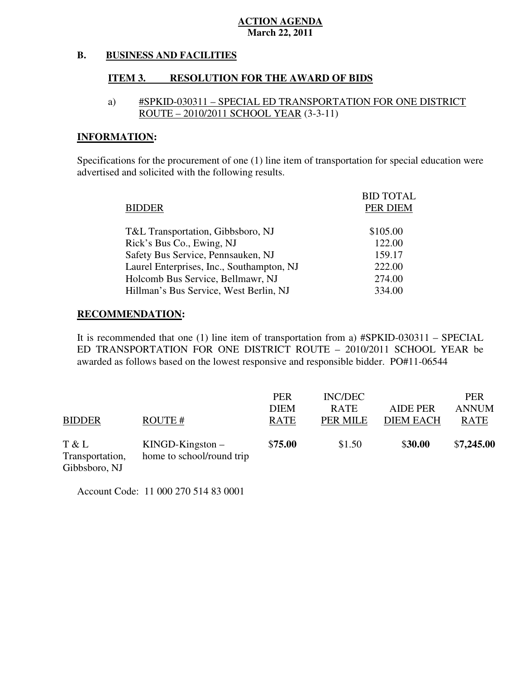#### **B. BUSINESS AND FACILITIES**

#### **ITEM 3. RESOLUTION FOR THE AWARD OF BIDS**

# a) #SPKID-030311 – SPECIAL ED TRANSPORTATION FOR ONE DISTRICT ROUTE – 2010/2011 SCHOOL YEAR (3-3-11)

# **INFORMATION:**

 Specifications for the procurement of one (1) line item of transportation for special education were advertised and solicited with the following results.

|                                           | <b>BID TOTAL</b> |
|-------------------------------------------|------------------|
| <b>BIDDER</b>                             | PER DIEM         |
|                                           |                  |
| T&L Transportation, Gibbsboro, NJ         | \$105.00         |
| Rick's Bus Co., Ewing, NJ                 | 122.00           |
| Safety Bus Service, Pennsauken, NJ        | 159.17           |
| Laurel Enterprises, Inc., Southampton, NJ | 222.00           |
| Holcomb Bus Service, Bellmawr, NJ         | 274.00           |
| Hillman's Bus Service, West Berlin, NJ    | 334.00           |

## **RECOMMENDATION:**

 It is recommended that one (1) line item of transportation from a) #SPKID-030311 – SPECIAL ED TRANSPORTATION FOR ONE DISTRICT ROUTE – 2010/2011 SCHOOL YEAR be awarded as follows based on the lowest responsive and responsible bidder. PO#11-06544

| <b>BIDDER</b>                             | ROUTE #                                         | <b>PER</b><br><b>DIEM</b><br><b>RATE</b> | INC/DEC<br><b>RATE</b><br>PER MILE | <b>AIDE PER</b><br><b>DIEM EACH</b> | <b>PER</b><br><b>ANNUM</b><br><b>RATE</b> |
|-------------------------------------------|-------------------------------------------------|------------------------------------------|------------------------------------|-------------------------------------|-------------------------------------------|
| T & L<br>Transportation,<br>Gibbsboro, NJ | $KINGD-Kingston -$<br>home to school/round trip | \$75.00                                  | \$1.50                             | \$30.00                             | \$7,245.00                                |

Account Code: 11 000 270 514 83 0001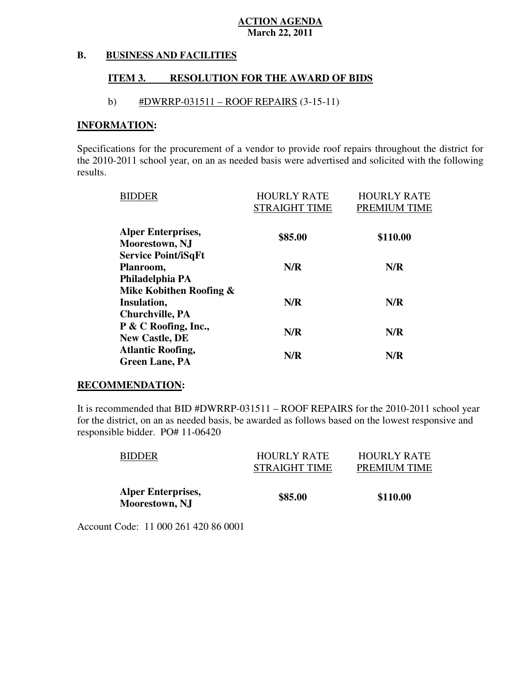#### **B. BUSINESS AND FACILITIES**

#### **ITEM 3. RESOLUTION FOR THE AWARD OF BIDS**

# b)  $\#DWRRP-031511 - ROOF REPRESENTS (3-15-11)$

### **INFORMATION:**

 Specifications for the procurement of a vendor to provide roof repairs throughout the district for the 2010-2011 school year, on an as needed basis were advertised and solicited with the following results.

| <b>BIDDER</b>              | <b>HOURLY RATE</b>   | <b>HOURLY RATE</b> |
|----------------------------|----------------------|--------------------|
|                            | <b>STRAIGHT TIME</b> | PREMIUM TIME       |
| <b>Alper Enterprises,</b>  | \$85.00              | \$110.00           |
| Moorestown, NJ             |                      |                    |
| <b>Service Point/iSqFt</b> |                      |                    |
| Planroom,                  | N/R                  | N/R                |
| Philadelphia PA            |                      |                    |
| Mike Kobithen Roofing &    |                      |                    |
| Insulation,                | N/R                  | N/R                |
| <b>Churchville, PA</b>     |                      |                    |
| P & C Roofing, Inc.,       |                      |                    |
| <b>New Castle, DE</b>      | N/R                  | N/R                |
| <b>Atlantic Roofing,</b>   |                      |                    |
| <b>Green Lane, PA</b>      | N/R                  | N/R                |

### **RECOMMENDATION:**

 It is recommended that BID #DWRRP-031511 – ROOF REPAIRS for the 2010-2011 school year for the district, on an as needed basis, be awarded as follows based on the lowest responsive and responsible bidder. PO# 11-06420

| <b>BIDDER</b>                               | <b>HOURLY RATE</b><br>STRAIGHT TIME | <b>HOURLY RATE</b><br>PREMIUM TIME |
|---------------------------------------------|-------------------------------------|------------------------------------|
| <b>Alper Enterprises,</b><br>Moorestown, NJ | \$85.00                             | \$110.00                           |

Account Code: 11 000 261 420 86 0001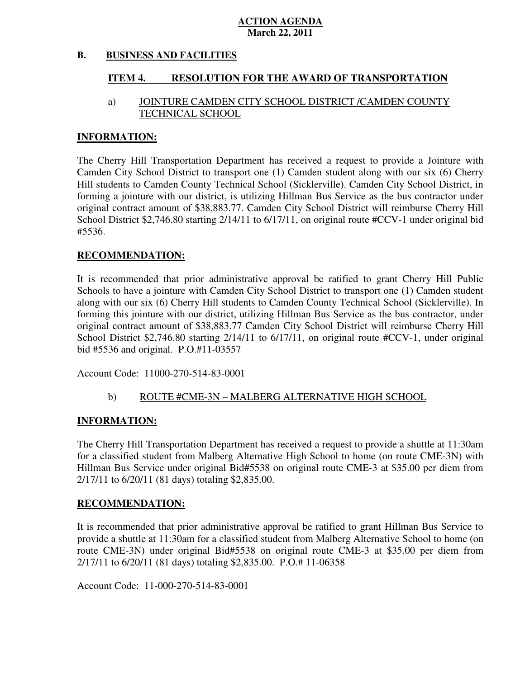#### **B. BUSINESS AND FACILITIES**

#### **ITEM 4. RESOLUTION FOR THE AWARD OF TRANSPORTATION**

#### a) TECHNICAL SCHOOL JOINTURE CAMDEN CITY SCHOOL DISTRICT /CAMDEN COUNTY

## **INFORMATION:**

 The Cherry Hill Transportation Department has received a request to provide a Jointure with Camden City School District to transport one (1) Camden student along with our six (6) Cherry Hill students to Camden County Technical School (Sicklerville). Camden City School District, in forming a jointure with our district, is utilizing Hillman Bus Service as the bus contractor under original contract amount of \$38,883.77. Camden City School District will reimburse Cherry Hill School District \$2,746.80 starting 2/14/11 to 6/17/11, on original route #CCV-1 under original bid #5536.

# **RECOMMENDATION:**

 It is recommended that prior administrative approval be ratified to grant Cherry Hill Public Schools to have a jointure with Camden City School District to transport one (1) Camden student along with our six (6) Cherry Hill students to Camden County Technical School (Sicklerville). In forming this jointure with our district, utilizing Hillman Bus Service as the bus contractor, under original contract amount of \$38,883.77 Camden City School District will reimburse Cherry Hill School District \$2,746.80 starting 2/14/11 to 6/17/11, on original route #CCV-1, under original bid #5536 and original. P.O.#11-03557

Account Code: 11000-270-514-83-0001

# b) ROUTE #CME-3N – MALBERG ALTERNATIVE HIGH SCHOOL

# **INFORMATION:**

 The Cherry Hill Transportation Department has received a request to provide a shuttle at 11:30am for a classified student from Malberg Alternative High School to home (on route CME-3N) with Hillman Bus Service under original Bid#5538 on original route CME-3 at \$35.00 per diem from 2/17/11 to 6/20/11 (81 days) totaling \$2,835.00.

### **RECOMMENDATION:**

 It is recommended that prior administrative approval be ratified to grant Hillman Bus Service to provide a shuttle at 11:30am for a classified student from Malberg Alternative School to home (on route CME-3N) under original Bid#5538 on original route CME-3 at \$35.00 per diem from 2/17/11 to 6/20/11 (81 days) totaling \$2,835.00. P.O.# 11-06358

Account Code: 11-000-270-514-83-0001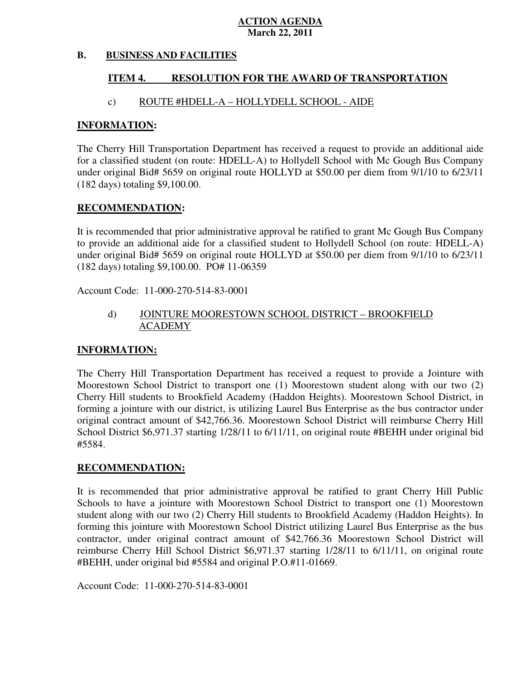#### **B. BUSINESS AND FACILITIES**

#### **ITEM 4. RESOLUTION FOR THE AWARD OF TRANSPORTATION**

# c) ROUTE #HDELL-A – HOLLYDELL SCHOOL - AIDE

## **INFORMATION:**

 The Cherry Hill Transportation Department has received a request to provide an additional aide for a classified student (on route: HDELL-A) to Hollydell School with Mc Gough Bus Company under original Bid# 5659 on original route HOLLYD at \$50.00 per diem from 9/1/10 to 6/23/11 (182 days) totaling \$9,100.00.

# **RECOMMENDATION:**

 It is recommended that prior administrative approval be ratified to grant Mc Gough Bus Company to provide an additional aide for a classified student to Hollydell School (on route: HDELL-A) under original Bid# 5659 on original route HOLLYD at \$50.00 per diem from 9/1/10 to 6/23/11 (182 days) totaling \$9,100.00. PO# 11-06359

Account Code: 11-000-270-514-83-0001

#### d) JOINTURE MOORESTOWN SCHOOL DISTRICT - BROOKFIELD ACADEMY

# **INFORMATION:**

 The Cherry Hill Transportation Department has received a request to provide a Jointure with Moorestown School District to transport one (1) Moorestown student along with our two (2) Cherry Hill students to Brookfield Academy (Haddon Heights). Moorestown School District, in forming a jointure with our district, is utilizing Laurel Bus Enterprise as the bus contractor under original contract amount of \$42,766.36. Moorestown School District will reimburse Cherry Hill School District \$6,971.37 starting 1/28/11 to 6/11/11, on original route #BEHH under original bid #5584.

## **RECOMMENDATION:**

 It is recommended that prior administrative approval be ratified to grant Cherry Hill Public Schools to have a jointure with Moorestown School District to transport one (1) Moorestown student along with our two (2) Cherry Hill students to Brookfield Academy (Haddon Heights). In forming this jointure with Moorestown School District utilizing Laurel Bus Enterprise as the bus contractor, under original contract amount of \$42,766.36 Moorestown School District will reimburse Cherry Hill School District \$6,971.37 starting 1/28/11 to 6/11/11, on original route #BEHH, under original bid #5584 and original P.O.#11-01669.

Account Code: 11-000-270-514-83-0001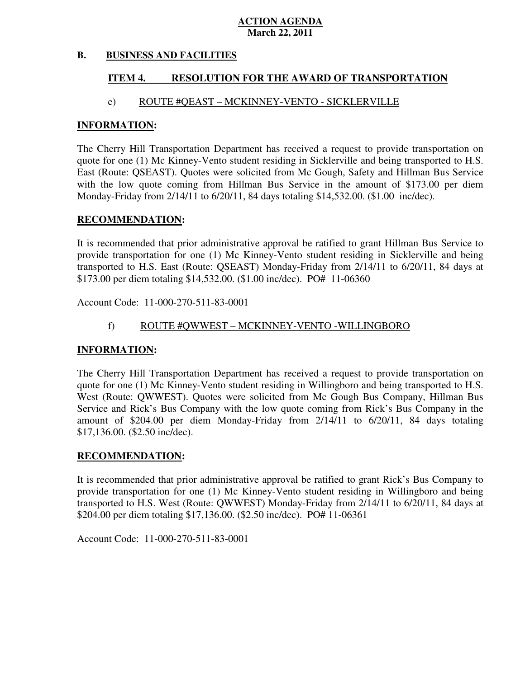#### **B. BUSINESS AND FACILITIES**

#### **ITEM 4. RESOLUTION FOR THE AWARD OF TRANSPORTATION**

## e) ROUTE #QEAST – MCKINNEY-VENTO - SICKLERVILLE

## **INFORMATION:**

 The Cherry Hill Transportation Department has received a request to provide transportation on quote for one (1) Mc Kinney-Vento student residing in Sicklerville and being transported to H.S. East (Route: QSEAST). Quotes were solicited from Mc Gough, Safety and Hillman Bus Service with the low quote coming from Hillman Bus Service in the amount of \$173.00 per diem Monday-Friday from 2/14/11 to 6/20/11, 84 days totaling \$14,532.00. (\$1.00 inc/dec).

## **RECOMMENDATION:**

 It is recommended that prior administrative approval be ratified to grant Hillman Bus Service to provide transportation for one (1) Mc Kinney-Vento student residing in Sicklerville and being transported to H.S. East (Route: QSEAST) Monday-Friday from 2/14/11 to 6/20/11, 84 days at \$173.00 per diem totaling \$14,532.00. (\$1.00 inc/dec). PO# 11-06360

Account Code: 11-000-270-511-83-0001

# f) ROUTE #QWWEST – MCKINNEY-VENTO -WILLINGBORO

### **INFORMATION:**

 The Cherry Hill Transportation Department has received a request to provide transportation on quote for one (1) Mc Kinney-Vento student residing in Willingboro and being transported to H.S. West (Route: QWWEST). Quotes were solicited from Mc Gough Bus Company, Hillman Bus Service and Rick's Bus Company with the low quote coming from Rick's Bus Company in the amount of \$204.00 per diem Monday-Friday from 2/14/11 to 6/20/11, 84 days totaling \$17,136.00. (\$2.50 inc/dec).

### **RECOMMENDATION:**

 It is recommended that prior administrative approval be ratified to grant Rick's Bus Company to provide transportation for one (1) Mc Kinney-Vento student residing in Willingboro and being transported to H.S. West (Route: QWWEST) Monday-Friday from 2/14/11 to 6/20/11, 84 days at \$204.00 per diem totaling \$17,136.00. (\$2.50 inc/dec). PO# 11-06361

Account Code: 11-000-270-511-83-0001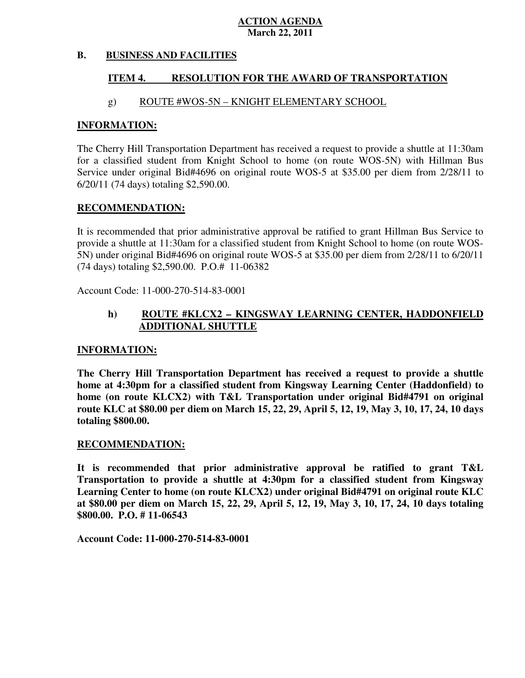#### **B. BUSINESS AND FACILITIES**

#### **ITEM 4. RESOLUTION FOR THE AWARD OF TRANSPORTATION**

# g) ROUTE #WOS-5N – KNIGHT ELEMENTARY SCHOOL

## **INFORMATION:**

 The Cherry Hill Transportation Department has received a request to provide a shuttle at 11:30am for a classified student from Knight School to home (on route WOS-5N) with Hillman Bus Service under original Bid#4696 on original route WOS-5 at \$35.00 per diem from 2/28/11 to 6/20/11 (74 days) totaling \$2,590.00.

# **RECOMMENDATION:**

 It is recommended that prior administrative approval be ratified to grant Hillman Bus Service to provide a shuttle at 11:30am for a classified student from Knight School to home (on route WOS-5N) under original Bid#4696 on original route WOS-5 at \$35.00 per diem from 2/28/11 to 6/20/11 (74 days) totaling \$2,590.00. P.O.# 11-06382

Account Code: 11-000-270-514-83-0001

### $\mathbf{h}$  **ADDITIONAL SHUTTLE ROUTE #KLCX2 – KINGSWAY LEARNING CENTER, HADDONFIELD**

### **INFORMATION:**

 **The Cherry Hill Transportation Department has received a request to provide a shuttle home at 4:30pm for a classified student from Kingsway Learning Center (Haddonfield) to home (on route KLCX2) with T&L Transportation under original Bid#4791 on original route KLC at \$80.00 per diem on March 15, 22, 29, April 5, 12, 19, May 3, 10, 17, 24, 10 days totaling \$800.00.** 

### **RECOMMENDATION:**

 **It is recommended that prior administrative approval be ratified to grant T&L Transportation to provide a shuttle at 4:30pm for a classified student from Kingsway Learning Center to home (on route KLCX2) under original Bid#4791 on original route KLC at \$80.00 per diem on March 15, 22, 29, April 5, 12, 19, May 3, 10, 17, 24, 10 days totaling \$800.00. P.O. # 11-06543** 

 **Account Code: 11-000-270-514-83-0001**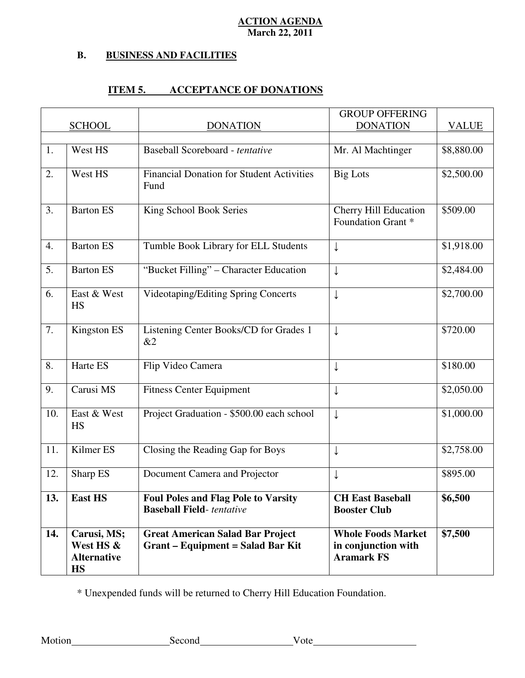#### **B. B. BUSINESS AND FACILITIES**

# **ITEM 5. ACCEPTANCE OF DONATIONS**

|                  |                                                             |                                                                                     | <b>GROUP OFFERING</b>                                                 |              |
|------------------|-------------------------------------------------------------|-------------------------------------------------------------------------------------|-----------------------------------------------------------------------|--------------|
|                  | <b>SCHOOL</b>                                               | <b>DONATION</b>                                                                     | <b>DONATION</b>                                                       | <b>VALUE</b> |
| 1.               | West HS                                                     | Baseball Scoreboard - tentative                                                     | Mr. Al Machtinger                                                     | \$8,880.00   |
| 2.               | West HS                                                     | <b>Financial Donation for Student Activities</b><br>Fund                            | <b>Big Lots</b>                                                       | \$2,500.00   |
| 3.               | <b>Barton ES</b>                                            | King School Book Series                                                             | <b>Cherry Hill Education</b><br>Foundation Grant *                    | \$509.00     |
| 4.               | <b>Barton ES</b>                                            | Tumble Book Library for ELL Students                                                | ↓                                                                     | \$1,918.00   |
| $\overline{5}$ . | <b>Barton ES</b>                                            | "Bucket Filling" - Character Education                                              | $\downarrow$                                                          | \$2,484.00   |
| 6.               | East & West<br><b>HS</b>                                    | <b>Videotaping/Editing Spring Concerts</b>                                          | $\downarrow$                                                          | \$2,700.00   |
| 7.               | Kingston ES                                                 | Listening Center Books/CD for Grades 1<br>&2                                        | $\downarrow$                                                          | \$720.00     |
| 8.               | Harte ES                                                    | Flip Video Camera                                                                   | ↓                                                                     | \$180.00     |
| 9.               | Carusi MS                                                   | <b>Fitness Center Equipment</b>                                                     | ↓                                                                     | \$2,050.00   |
| 10.              | East & West<br>HS                                           | Project Graduation - \$500.00 each school                                           | $\downarrow$                                                          | \$1,000.00   |
| 11.              | Kilmer ES                                                   | Closing the Reading Gap for Boys                                                    | ↓                                                                     | \$2,758.00   |
| 12.              | Sharp ES                                                    | Document Camera and Projector                                                       |                                                                       | \$895.00     |
| 13.              | <b>East HS</b>                                              | <b>Foul Poles and Flag Pole to Varsity</b><br><b>Baseball Field-</b> tentative      | <b>CH East Baseball</b><br><b>Booster Club</b>                        | \$6,500      |
| 14.              | Carusi, MS;<br>West HS &<br><b>Alternative</b><br><b>HS</b> | <b>Great American Salad Bar Project</b><br><b>Grant - Equipment = Salad Bar Kit</b> | <b>Whole Foods Market</b><br>in conjunction with<br><b>Aramark FS</b> | \$7,500      |

\* Unexpended funds will be returned to Cherry Hill Education Foundation.

Motion Second Vote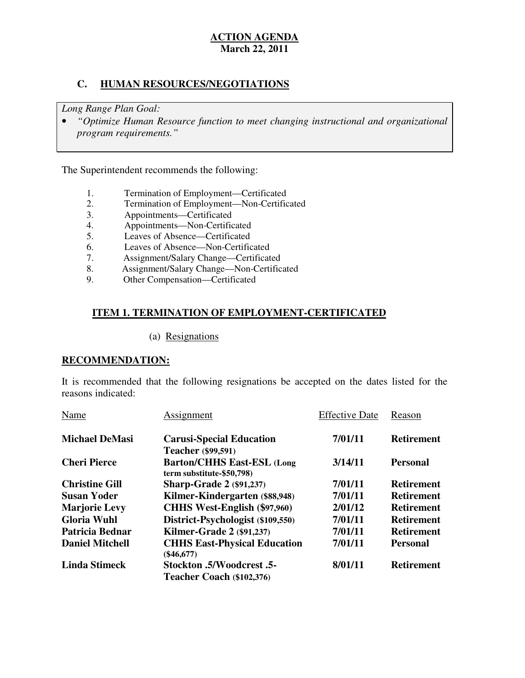# **C. HUMAN RESOURCES/NEGOTIATIONS**

 *Long Range Plan Goal:* 

**•** "Optimize Human Resource function to meet changing instructional and organizational *program requirements."* 

The Superintendent recommends the following:

- 1. Termination of Employment—Certificated
- 2. Termination of Employment—Non-Certificated
- 3. Appointments—Certificated
- 4. Appointments—Non-Certificated
- 5. Leaves of Absence—Certificated
- 6. Leaves of Absence—Non-Certificated
- 7. Assignment/Salary Change—Certificated
- 8. Assignment/Salary Change—Non-Certificated
- 9. Other Compensation—Certificated

# **ITEM 1. TERMINATION OF EMPLOYMENT-CERTIFICATED**

# (a) Resignations

# **RECOMMENDATION:**

 It is recommended that the following resignations be accepted on the dates listed for the reasons indicated:

| Name                   | Assignment                                                     | <b>Effective Date</b> | Reason            |
|------------------------|----------------------------------------------------------------|-----------------------|-------------------|
| <b>Michael DeMasi</b>  | <b>Carusi-Special Education</b>                                | 7/01/11               | <b>Retirement</b> |
|                        | <b>Teacher</b> (\$99,591)                                      |                       |                   |
| <b>Cheri Pierce</b>    | <b>Barton/CHHS East-ESL (Long</b><br>term substitute-\$50,798) | 3/14/11               | <b>Personal</b>   |
| <b>Christine Gill</b>  | <b>Sharp-Grade 2 (\$91,237)</b>                                | 7/01/11               | <b>Retirement</b> |
| <b>Susan Yoder</b>     | Kilmer-Kindergarten (\$88,948)                                 | 7/01/11               | <b>Retirement</b> |
| <b>Marjorie Levy</b>   | <b>CHHS West-English (\$97,960)</b>                            | 2/01/12               | <b>Retirement</b> |
| <b>Gloria Wuhl</b>     | District-Psychologist (\$109,550)                              | 7/01/11               | <b>Retirement</b> |
| Patricia Bednar        | <b>Kilmer-Grade 2 (\$91,237)</b>                               | 7/01/11               | <b>Retirement</b> |
| <b>Daniel Mitchell</b> | <b>CHHS East-Physical Education</b><br>$(\$46,677)$            | 7/01/11               | <b>Personal</b>   |
| <b>Linda Stimeck</b>   | 5. Stockton .5/Woodcrest                                       | 8/01/11               | <b>Retirement</b> |
|                        | Teacher Coach (\$102,376)                                      |                       |                   |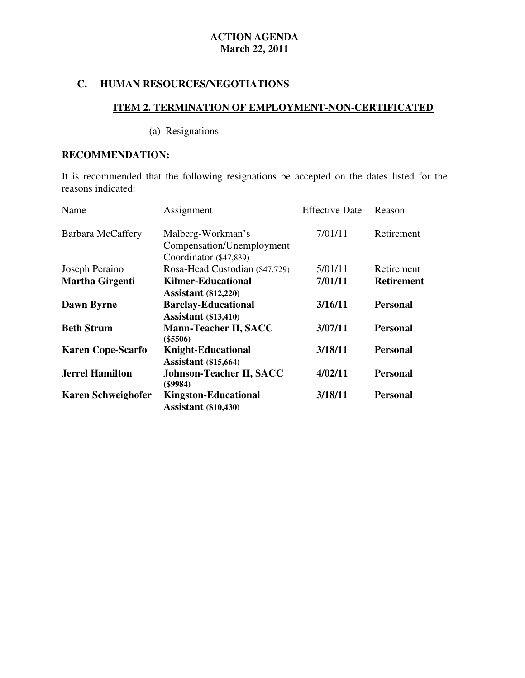# **C. HUMAN RESOURCES/NEGOTIATIONS**

# **ITEM 2. TERMINATION OF EMPLOYMENT-NON-CERTIFICATED**

# (a) Resignations

# **RECOMMENDATION:**

 It is recommended that the following resignations be accepted on the dates listed for the reasons indicated:

| Name                      | Assignment                                                 | <b>Effective Date</b> | Reason            |
|---------------------------|------------------------------------------------------------|-----------------------|-------------------|
| <b>Barbara McCaffery</b>  | Malberg-Workman's                                          | 7/01/11               | Retirement        |
|                           | Compensation/Unemployment                                  |                       |                   |
|                           | Coordinator (\$47,839)                                     |                       |                   |
| Joseph Peraino            | Rosa-Head Custodian (\$47,729)                             | 5/01/11               | Retirement        |
| <b>Martha Girgenti</b>    | <b>Kilmer-Educational</b>                                  | 7/01/11               | <b>Retirement</b> |
|                           | <b>Assistant</b> (\$12,220)                                |                       |                   |
| <b>Dawn Byrne</b>         | <b>Barclay-Educational</b>                                 | 3/16/11               | <b>Personal</b>   |
|                           | <b>Assistant</b> (\$13,410)                                |                       |                   |
| <b>Beth Strum</b>         | <b>Mann-Teacher II, SACC</b><br>$(\$5506)$                 | 3/07/11               | <b>Personal</b>   |
| <b>Karen Cope-Scarfo</b>  | <b>Knight-Educational</b>                                  | 3/18/11               | <b>Personal</b>   |
|                           | <b>Assistant</b> (\$15,664)                                |                       |                   |
| <b>Jerrel Hamilton</b>    | <b>Johnson-Teacher II, SACC</b><br>(\$9984)                | 4/02/11               | <b>Personal</b>   |
| <b>Karen Schweighofer</b> | <b>Kingston-Educational</b><br><b>Assistant</b> (\$10,430) | 3/18/11               | Personal          |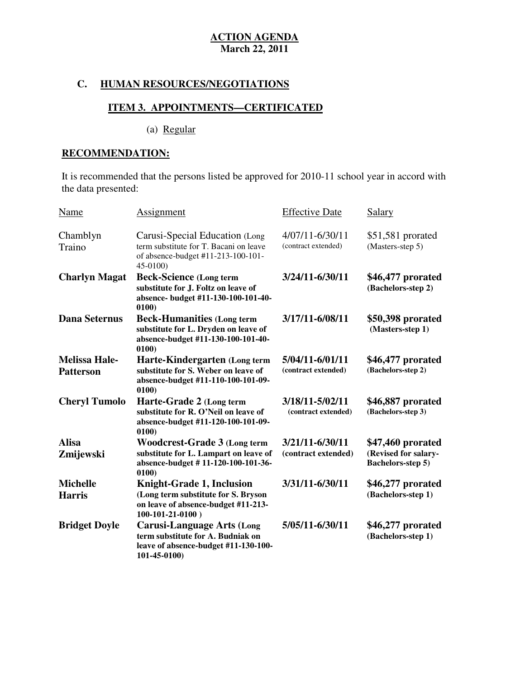# **C. HUMAN RESOURCES/NEGOTIATIONS**

# **ITEM 3. APPOINTMENTS—CERTIFICATED**

(a) Regular

# **RECOMMENDATION:**

 It is recommended that the persons listed be approved for 2010-11 school year in accord with the data presented:

| Name                                     | <b>Assignment</b>                                                                                                                     | <b>Effective Date</b>                  | <b>Salary</b>                                                         |
|------------------------------------------|---------------------------------------------------------------------------------------------------------------------------------------|----------------------------------------|-----------------------------------------------------------------------|
| Chamblyn<br>Traino                       | Carusi-Special Education (Long<br>term substitute for T. Bacani on leave<br>of absence-budget #11-213-100-101-<br>45-0100)            | 4/07/11-6/30/11<br>(contract extended) | $$51,581$ prorated<br>(Masters-step 5)                                |
| <b>Charlyn Magat</b>                     | <b>Beck-Science (Long term</b><br>substitute for J. Foltz on leave of<br>absence- budget #11-130-100-101-40-<br>0100)                 | 3/24/11-6/30/11                        | \$46,477 prorated<br>(Bachelors-step 2)                               |
| <b>Dana Seternus</b>                     | <b>Beck-Humanities (Long term</b><br>substitute for L. Dryden on leave of<br>absence-budget #11-130-100-101-40-<br>0100)              | 3/17/11-6/08/11                        | \$50,398 prorated<br>(Masters-step 1)                                 |
| <b>Melissa Hale-</b><br><b>Patterson</b> | Harte-Kindergarten (Long term<br>substitute for S. Weber on leave of<br>absence-budget #11-110-100-101-09-<br>0100)                   | 5/04/11-6/01/11<br>(contract extended) | \$46,477 prorated<br>(Bachelors-step 2)                               |
| <b>Cheryl Tumolo</b>                     | Harte-Grade 2 (Long term<br>substitute for R. O'Neil on leave of<br>absence-budget #11-120-100-101-09-<br>0100)                       | 3/18/11-5/02/11<br>(contract extended) | \$46,887 prorated<br>(Bachelors-step 3)                               |
| <b>Alisa</b><br>Zmijewski                | <b>Woodcrest-Grade 3 (Long term</b><br>substitute for L. Lampart on leave of<br>absence-budget #11-120-100-101-36-<br>0100)           | 3/21/11-6/30/11<br>(contract extended) | \$47,460 prorated<br>(Revised for salary-<br><b>Bachelors-step 5)</b> |
| <b>Michelle</b><br><b>Harris</b>         | <b>Knight-Grade 1, Inclusion</b><br>(Long term substitute for S. Bryson<br>on leave of absence-budget #11-213-<br>$100-101-21-0100$ ) | 3/31/11-6/30/11                        | \$46,277 prorated<br>(Bachelors-step 1)                               |
| <b>Bridget Doyle</b>                     | <b>Carusi-Language Arts (Long</b><br>term substitute for A. Budniak on<br>leave of absence-budget #11-130-100-<br>$101 - 45 - 0100$   | 5/05/11-6/30/11                        | \$46,277 prorated<br>(Bachelors-step 1)                               |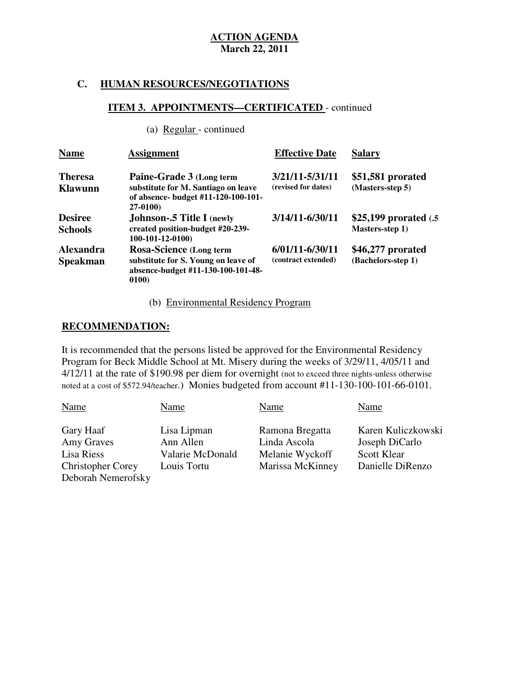# **C. HUMAN RESOURCES/NEGOTIATIONS**

# **ITEM 3. APPOINTMENTS—CERTIFICATED** - continued

(a) Regular - continued

| <b>Name</b>                         | <b>Assignment</b>                                                                                                    | <b>Effective Date</b>                      | <b>Salary</b>                             |
|-------------------------------------|----------------------------------------------------------------------------------------------------------------------|--------------------------------------------|-------------------------------------------|
| <b>Theresa</b><br><b>Klawunn</b>    | Paine-Grade 3 (Long term<br>substitute for M. Santiago on leave<br>of absence- budget #11-120-100-101-<br>$27-0100$  | 3/21/11-5/31/11<br>(revised for dates)     | \$51,581 prorated<br>(Masters-step 5)     |
| <b>Desiree</b><br><b>Schools</b>    | <b>Johnson-.5 Title I</b> (newly<br>created position-budget #20-239-<br>$100-101-12-0100$                            | 3/14/11-6/30/11                            | \$25,199 prorated (.5)<br>Masters-step 1) |
| <b>Alexandra</b><br><b>Speakman</b> | <b>Rosa-Science (Long term</b><br>substitute for S. Young on leave of<br>absence-budget #11-130-100-101-48-<br>0100) | $6/01/11 - 6/30/11$<br>(contract extended) | \$46,277 prorated<br>(Bachelors-step 1)   |

# (b) Environmental Residency Program

### **RECOMMENDATION:**

 It is recommended that the persons listed be approved for the Environmental Residency Program for Beck Middle School at Mt. Misery during the weeks of 3/29/11, 4/05/11 and 4/12/11 at the rate of \$190.98 per diem for overnight (not to exceed three nights-unless otherwise noted at a cost of \$572.94/teacher.) Monies budgeted from account #11-130-100-101-66-0101.

| Name                                                                                    | Name                                                        | Name                                                                   | Name                                                                           |
|-----------------------------------------------------------------------------------------|-------------------------------------------------------------|------------------------------------------------------------------------|--------------------------------------------------------------------------------|
| Gary Haaf<br>Amy Graves<br>Lisa Riess<br><b>Christopher Corey</b><br>Deborah Nemerofsky | Lisa Lipman<br>Ann Allen<br>Valarie McDonald<br>Louis Tortu | Ramona Bregatta<br>Linda Ascola<br>Melanie Wyckoff<br>Marissa McKinney | Karen Kuliczkowski<br>Joseph DiCarlo<br><b>Scott Klear</b><br>Danielle DiRenzo |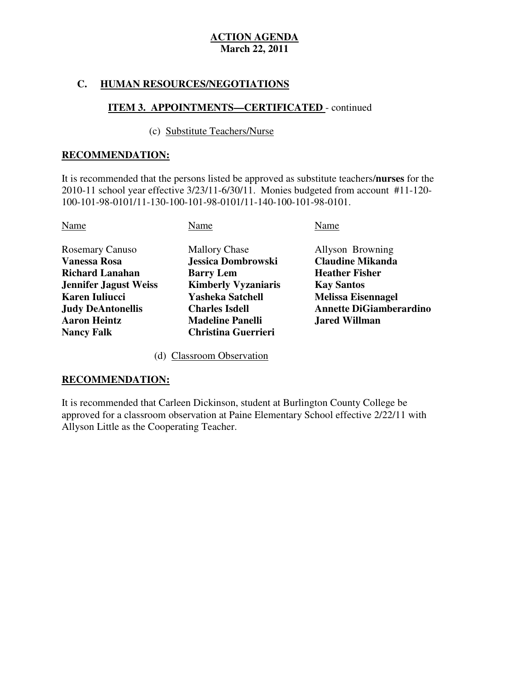# **C. HUMAN RESOURCES/NEGOTIATIONS**

# **ITEM 3. APPOINTMENTS—CERTIFICATED** - continued

## (c) Substitute Teachers/Nurse

# **RECOMMENDATION:**

 It is recommended that the persons listed be approved as substitute teachers/**nurses** for the 2010-11 school year effective 3/23/11-6/30/11. Monies budgeted from account #11-120 100-101-98-0101/11-130-100-101-98-0101/11-140-100-101-98-0101.

| Name                         | Name                       | Name                           |
|------------------------------|----------------------------|--------------------------------|
| <b>Rosemary Canuso</b>       | <b>Mallory Chase</b>       | Allyson Browning               |
| <b>Vanessa Rosa</b>          | Jessica Dombrowski         | <b>Claudine Mikanda</b>        |
| <b>Richard Lanahan</b>       | <b>Barry Lem</b>           | <b>Heather Fisher</b>          |
| <b>Jennifer Jagust Weiss</b> | <b>Kimberly Vyzaniaris</b> | <b>Kay Santos</b>              |
| Karen Iuliucci               | <b>Yasheka Satchell</b>    | <b>Melissa Eisennagel</b>      |
| <b>Judy DeAntonellis</b>     | <b>Charles Isdell</b>      | <b>Annette DiGiamberardino</b> |
| <b>Aaron Heintz</b>          | <b>Madeline Panelli</b>    | <b>Jared Willman</b>           |
| <b>Nancy Falk</b>            | <b>Christina Guerrieri</b> |                                |

(d) Classroom Observation

# **RECOMMENDATION:**

 It is recommended that Carleen Dickinson, student at Burlington County College be approved for a classroom observation at Paine Elementary School effective 2/22/11 with Allyson Little as the Cooperating Teacher.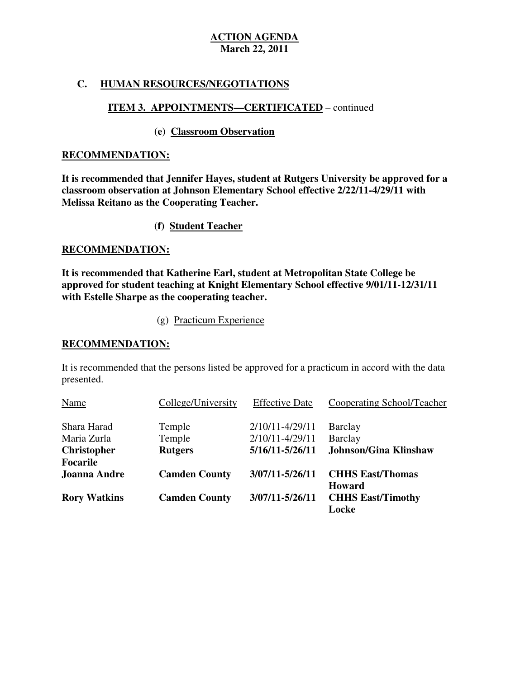# **C. HUMAN RESOURCES/NEGOTIATIONS**

# **ITEM 3. APPOINTMENTS—CERTIFICATED** – continued

# **(e) Classroom Observation**

# **RECOMMENDATION:**

 **It is recommended that Jennifer Hayes, student at Rutgers University be approved for a classroom observation at Johnson Elementary School effective 2/22/11-4/29/11 with Melissa Reitano as the Cooperating Teacher.** 

# **(f) Student Teacher**

# **RECOMMENDATION:**

 **It is recommended that Katherine Earl, student at Metropolitan State College be approved for student teaching at Knight Elementary School effective 9/01/11-12/31/11 with Estelle Sharpe as the cooperating teacher.** 

(g) Practicum Experience

# **RECOMMENDATION:**

 It is recommended that the persons listed be approved for a practicum in accord with the data presented. presented.<br>
Name College/University Effective Date Cooperating School/Teacher

| Name                | College/University   | <b>Effective Date</b> | Cooperating School/Teacher   |
|---------------------|----------------------|-----------------------|------------------------------|
| Shara Harad         | Temple               | 2/10/11-4/29/11       | Barclay                      |
| Maria Zurla         | Temple               | 2/10/11-4/29/11       | Barclay                      |
| <b>Christopher</b>  | <b>Rutgers</b>       | 5/16/11-5/26/11       | <b>Johnson/Gina Klinshaw</b> |
| <b>Focarile</b>     |                      |                       |                              |
| <b>Joanna Andre</b> | <b>Camden County</b> | 3/07/11-5/26/11       | <b>CHHS East/Thomas</b>      |
|                     |                      |                       | Howard                       |
| <b>Rory Watkins</b> | <b>Camden County</b> | 3/07/11-5/26/11       | <b>CHHS East/Timothy</b>     |
|                     |                      |                       | Locke                        |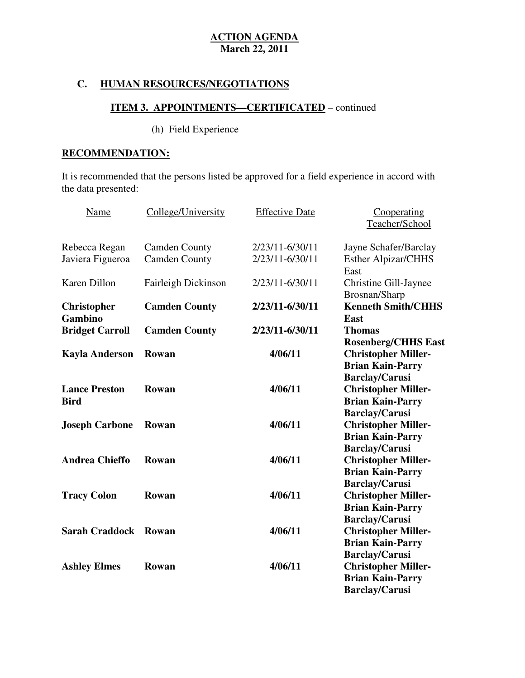# **C. HUMAN RESOURCES/NEGOTIATIONS**

# **ITEM 3. APPOINTMENTS—CERTIFICATED** – continued

# (h) Field Experience

# **RECOMMENDATION:**

 It is recommended that the persons listed be approved for a field experience in accord with the data presented:

| Name                   | College/University   | <b>Effective Date</b> | Cooperating                |
|------------------------|----------------------|-----------------------|----------------------------|
|                        |                      |                       | Teacher/School             |
| Rebecca Regan          | <b>Camden County</b> | 2/23/11-6/30/11       | Jayne Schafer/Barclay      |
| Javiera Figueroa       | <b>Camden County</b> | 2/23/11-6/30/11       | <b>Esther Alpizar/CHHS</b> |
|                        |                      |                       | East                       |
| Karen Dillon           | Fairleigh Dickinson  | 2/23/11-6/30/11       | Christine Gill-Jaynee      |
|                        |                      |                       | Brosnan/Sharp              |
| <b>Christopher</b>     | <b>Camden County</b> | 2/23/11-6/30/11       | <b>Kenneth Smith/CHHS</b>  |
| Gambino                |                      |                       | East                       |
| <b>Bridget Carroll</b> | <b>Camden County</b> | 2/23/11-6/30/11       | <b>Thomas</b>              |
|                        |                      |                       | <b>Rosenberg/CHHS East</b> |
| <b>Kayla Anderson</b>  | Rowan                | 4/06/11               | <b>Christopher Miller-</b> |
|                        |                      |                       | <b>Brian Kain-Parry</b>    |
|                        |                      |                       | <b>Barclay/Carusi</b>      |
| <b>Lance Preston</b>   | Rowan                | 4/06/11               | <b>Christopher Miller-</b> |
| <b>Bird</b>            |                      |                       | <b>Brian Kain-Parry</b>    |
|                        |                      |                       | <b>Barclay/Carusi</b>      |
| <b>Joseph Carbone</b>  | Rowan                | 4/06/11               | <b>Christopher Miller-</b> |
|                        |                      |                       | <b>Brian Kain-Parry</b>    |
|                        |                      |                       | <b>Barclay/Carusi</b>      |
| <b>Andrea Chieffo</b>  | Rowan                | 4/06/11               | <b>Christopher Miller-</b> |
|                        |                      |                       | <b>Brian Kain-Parry</b>    |
|                        |                      |                       | <b>Barclay/Carusi</b>      |
| <b>Tracy Colon</b>     | Rowan                | 4/06/11               | <b>Christopher Miller-</b> |
|                        |                      |                       | <b>Brian Kain-Parry</b>    |
|                        |                      |                       | <b>Barclay/Carusi</b>      |
| <b>Sarah Craddock</b>  | Rowan                | 4/06/11               | <b>Christopher Miller-</b> |
|                        |                      |                       | <b>Brian Kain-Parry</b>    |
|                        |                      |                       | <b>Barclay/Carusi</b>      |
| <b>Ashley Elmes</b>    | Rowan                | 4/06/11               | <b>Christopher Miller-</b> |
|                        |                      |                       | <b>Brian Kain-Parry</b>    |
|                        |                      |                       | Barclay/Carusi             |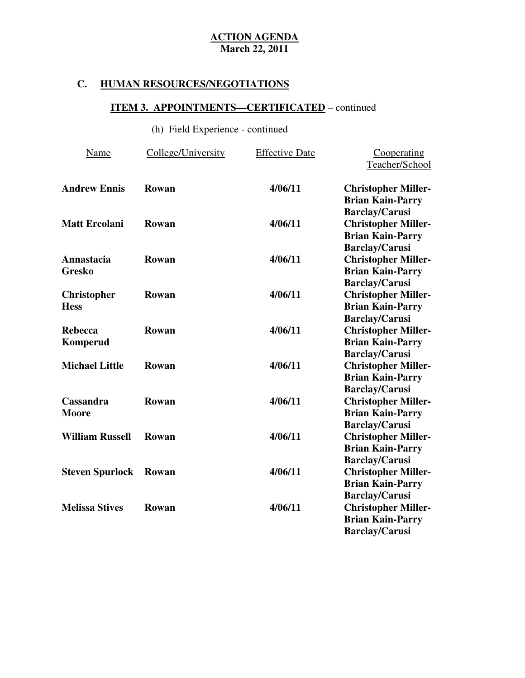# **C. HUMAN RESOURCES/NEGOTIATIONS**

# **ITEM 3. APPOINTMENTS—CERTIFICATED** – continued

# (h) Field Experience - continued

| Name                              | College/University | <b>Effective Date</b> | Cooperating<br>Teacher/School                                                                             |
|-----------------------------------|--------------------|-----------------------|-----------------------------------------------------------------------------------------------------------|
| <b>Andrew Ennis</b>               | Rowan              | 4/06/11               | <b>Christopher Miller-</b>                                                                                |
| <b>Matt Ercolani</b>              | Rowan              | 4/06/11               | <b>Brian Kain-Parry</b><br><b>Barclay/Carusi</b><br><b>Christopher Miller-</b><br><b>Brian Kain-Parry</b> |
| Annastacia<br><b>Gresko</b>       | Rowan              | 4/06/11               | <b>Barclay/Carusi</b><br><b>Christopher Miller-</b><br><b>Brian Kain-Parry</b>                            |
| <b>Christopher</b><br><b>Hess</b> | Rowan              | 4/06/11               | <b>Barclay/Carusi</b><br><b>Christopher Miller-</b><br><b>Brian Kain-Parry</b>                            |
| <b>Rebecca</b><br><b>Komperud</b> | Rowan              | 4/06/11               | <b>Barclay/Carusi</b><br><b>Christopher Miller-</b><br><b>Brian Kain-Parry</b>                            |
| <b>Michael Little</b>             | Rowan              | 4/06/11               | <b>Barclay/Carusi</b><br><b>Christopher Miller-</b><br><b>Brian Kain-Parry</b><br><b>Barclay/Carusi</b>   |
| Cassandra<br><b>Moore</b>         | <b>Rowan</b>       | 4/06/11               | <b>Christopher Miller-</b><br><b>Brian Kain-Parry</b><br><b>Barclay/Carusi</b>                            |
| <b>William Russell</b>            | Rowan              | 4/06/11               | <b>Christopher Miller-</b><br><b>Brian Kain-Parry</b><br><b>Barclay/Carusi</b>                            |
| <b>Steven Spurlock</b>            | Rowan              | 4/06/11               | <b>Christopher Miller-</b><br><b>Brian Kain-Parry</b><br><b>Barclay/Carusi</b>                            |
| <b>Melissa Stives</b>             | Rowan              | 4/06/11               | <b>Christopher Miller-</b><br><b>Brian Kain-Parry</b><br><b>Barclay/Carusi</b>                            |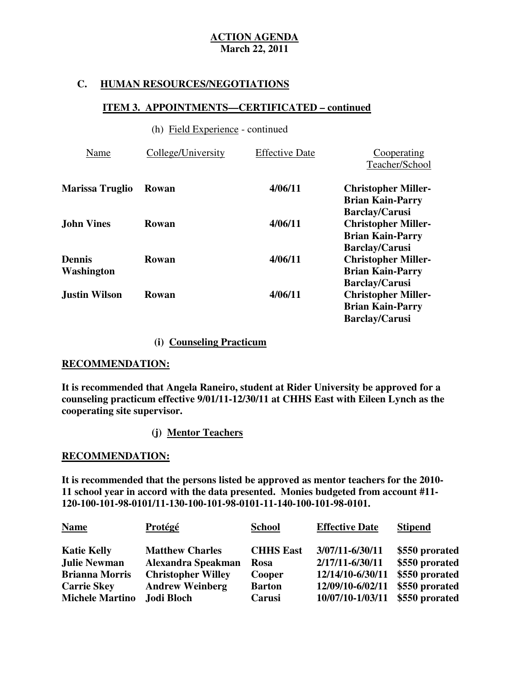# **C. HUMAN RESOURCES/NEGOTIATIONS**

## **ITEM 3. APPOINTMENTS—CERTIFICATED – continued**

## (h) Field Experience - continued

| Name                   | College/University | <b>Effective Date</b> | Cooperating<br>Teacher/School                                                                           |
|------------------------|--------------------|-----------------------|---------------------------------------------------------------------------------------------------------|
| <b>Marissa Truglio</b> | Rowan              | 4/06/11               | <b>Christopher Miller-</b><br><b>Brian Kain-Parry</b>                                                   |
| <b>John Vines</b>      | Rowan              | 4/06/11               | <b>Barclay/Carusi</b><br><b>Christopher Miller-</b><br><b>Brian Kain-Parry</b>                          |
| Dennis<br>Washington   | Rowan              | 4/06/11               | <b>Barclay/Carusi</b><br><b>Christopher Miller-</b><br><b>Brian Kain-Parry</b><br><b>Barclay/Carusi</b> |
| <b>Justin Wilson</b>   | Rowan              | 4/06/11               | <b>Christopher Miller-</b><br><b>Brian Kain-Parry</b><br><b>Barclay/Carusi</b>                          |

# **(i) Counseling Practicum**

## **RECOMMENDATION:**

 **It is recommended that Angela Raneiro, student at Rider University be approved for a counseling practicum effective 9/01/11-12/30/11 at CHHS East with Eileen Lynch as the cooperating site supervisor.** 

# **(j) Mentor Teachers**

# **RECOMMENDATION:**

 **It is recommended that the persons listed be approved as mentor teachers for the 2010 11 school year in accord with the data presented. Monies budgeted from account #11 120-100-101-98-0101/11-130-100-101-98-0101-11-140-100-101-98-0101.** 

| <b>Name</b>            | Protégé                   | <b>School</b>    | <b>Effective Date</b> | <b>Stipend</b> |
|------------------------|---------------------------|------------------|-----------------------|----------------|
| <b>Katie Kelly</b>     | <b>Matthew Charles</b>    | <b>CHHS East</b> | 3/07/11-6/30/11       | \$550 prorated |
| <b>Julie Newman</b>    | Alexandra Speakman        | <b>Rosa</b>      | 2/17/11-6/30/11       | \$550 prorated |
| <b>Brianna Morris</b>  | <b>Christopher Willey</b> | Cooper           | 12/14/10-6/30/11      | \$550 prorated |
| <b>Carrie Skey</b>     | <b>Andrew Weinberg</b>    | <b>Barton</b>    | 12/09/10-6/02/11      | \$550 prorated |
| <b>Michele Martino</b> | Jodi Bloch                | Carusi           | 10/07/10-1/03/11      | \$550 prorated |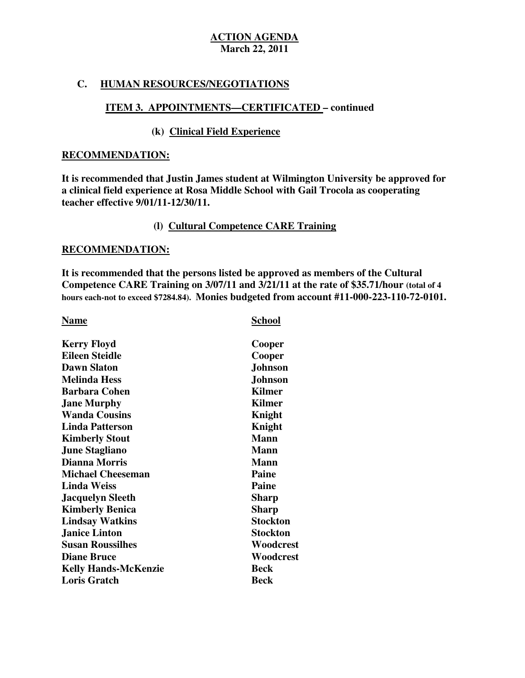# **C. HUMAN RESOURCES/NEGOTIATIONS**

# **ITEM 3. APPOINTMENTS—CERTIFICATED – continued**

# **(k) Clinical Field Experience**

### **RECOMMENDATION:**

 **It is recommended that Justin James student at Wilmington University be approved for a clinical field experience at Rosa Middle School with Gail Trocola as cooperating teacher effective 9/01/11-12/30/11.** 

# **(l) Cultural Competence CARE Training**

## **RECOMMENDATION:**

 **It is recommended that the persons listed be approved as members of the Cultural Competence CARE Training on 3/07/11 and 3/21/11 at the rate of \$35.71/hour (total of 4 hours each-not to exceed \$7284.84). Monies budgeted from account #11-000-223-110-72-0101.** 

# **Name** School **School**

| <b>Kerry Floyd</b>          | Cooper          |
|-----------------------------|-----------------|
| <b>Eileen Steidle</b>       | Cooper          |
| <b>Dawn Slaton</b>          | <b>Johnson</b>  |
| <b>Melinda Hess</b>         | <b>Johnson</b>  |
| <b>Barbara Cohen</b>        | <b>Kilmer</b>   |
| <b>Jane Murphy</b>          | <b>Kilmer</b>   |
| <b>Wanda Cousins</b>        | Knight          |
| <b>Linda Patterson</b>      | Knight          |
| <b>Kimberly Stout</b>       | <b>Mann</b>     |
| <b>June Stagliano</b>       | <b>Mann</b>     |
| <b>Dianna Morris</b>        | <b>Mann</b>     |
| <b>Michael Cheeseman</b>    | Paine           |
| <b>Linda Weiss</b>          | <b>Paine</b>    |
| <b>Jacquelyn Sleeth</b>     | <b>Sharp</b>    |
| <b>Kimberly Benica</b>      | <b>Sharp</b>    |
| <b>Lindsay Watkins</b>      | Stockton        |
| <b>Janice Linton</b>        | <b>Stockton</b> |
| <b>Susan Roussilhes</b>     | Woodcrest       |
| <b>Diane Bruce</b>          | Woodcrest       |
| <b>Kelly Hands-McKenzie</b> | <b>Beck</b>     |
| <b>Loris Gratch</b>         | <b>Beck</b>     |
|                             |                 |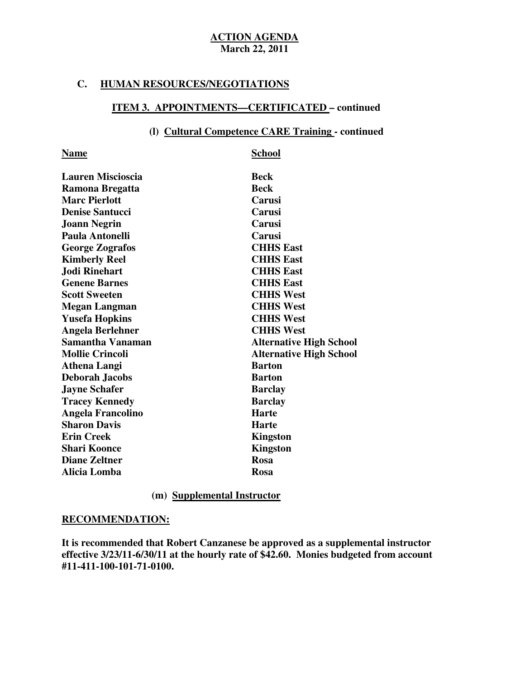### **C. HUMAN RESOURCES/NEGOTIATIONS**

# **ITEM 3. APPOINTMENTS—CERTIFICATED – continued**

# **(l) Cultural Competence CARE Training - continued**

| <b>Name</b>              | <b>School</b>                  |
|--------------------------|--------------------------------|
| <b>Lauren Miscioscia</b> | <b>Beck</b>                    |
| Ramona Bregatta          | <b>Beck</b>                    |
| <b>Marc Pierlott</b>     | Carusi                         |
| <b>Denise Santucci</b>   | Carusi                         |
| <b>Joann Negrin</b>      | Carusi                         |
| Paula Antonelli          | Carusi                         |
| <b>George Zografos</b>   | <b>CHHS East</b>               |
| <b>Kimberly Reel</b>     | <b>CHHS East</b>               |
| Jodi Rinehart            | <b>CHHS East</b>               |
| <b>Genene Barnes</b>     | <b>CHHS East</b>               |
| <b>Scott Sweeten</b>     | <b>CHHS West</b>               |
| <b>Megan Langman</b>     | <b>CHHS West</b>               |
| <b>Yusefa Hopkins</b>    | <b>CHHS West</b>               |
| <b>Angela Berlehner</b>  | <b>CHHS West</b>               |
| Samantha Vanaman         | <b>Alternative High School</b> |
| <b>Mollie Crincoli</b>   | <b>Alternative High School</b> |
| <b>Athena Langi</b>      | <b>Barton</b>                  |
| <b>Deborah Jacobs</b>    | <b>Barton</b>                  |
| <b>Jayne Schafer</b>     | <b>Barclay</b>                 |
| <b>Tracey Kennedy</b>    | <b>Barclay</b>                 |
| <b>Angela Francolino</b> | <b>Harte</b>                   |
| <b>Sharon Davis</b>      | <b>Harte</b>                   |
| <b>Erin Creek</b>        | <b>Kingston</b>                |
| <b>Shari Koonce</b>      | <b>Kingston</b>                |
| <b>Diane Zeltner</b>     | <b>Rosa</b>                    |
| <b>Alicia Lomba</b>      | Rosa                           |
|                          |                                |

# **(m) Supplemental Instructor**

# **RECOMMENDATION:**

 **It is recommended that Robert Canzanese be approved as a supplemental instructor effective 3/23/11-6/30/11 at the hourly rate of \$42.60. Monies budgeted from account #11-411-100-101-71-0100.**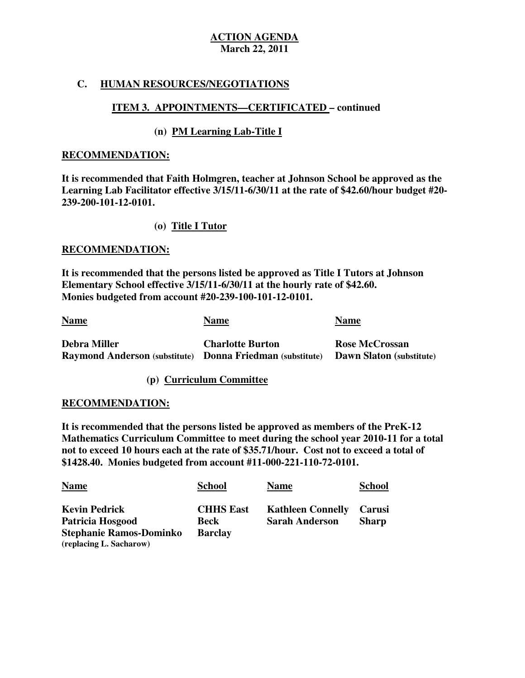# **C. HUMAN RESOURCES/NEGOTIATIONS**

# **ITEM 3. APPOINTMENTS—CERTIFICATED – continued**

# **(n) PM Learning Lab-Title I**

## **RECOMMENDATION:**

 **It is recommended that Faith Holmgren, teacher at Johnson School be approved as the Learning Lab Facilitator effective 3/15/11-6/30/11 at the rate of \$42.60/hour budget #20 239-200-101-12-0101.** 

## **(o) Title I Tutor**

## **RECOMMENDATION:**

 **It is recommended that the persons listed be approved as Title I Tutors at Johnson Elementary School effective 3/15/11-6/30/11 at the hourly rate of \$42.60. Monies budgeted from account #20-239-100-101-12-0101.** 

| <b>Name</b>                                                                             | <b>Name</b>             | <b>Name</b>                                       |
|-----------------------------------------------------------------------------------------|-------------------------|---------------------------------------------------|
| <b>Debra Miller</b><br><b>Raymond Anderson (substitute)</b> Donna Friedman (substitute) | <b>Charlotte Burton</b> | <b>Rose McCrossan</b><br>Dawn Slaton (substitute) |

**(p) Curriculum Committee** 

### **RECOMMENDATION:**

 **It is recommended that the persons listed be approved as members of the PreK-12 Mathematics Curriculum Committee to meet during the school year 2010-11 for a total not to exceed 10 hours each at the rate of \$35.71/hour. Cost not to exceed a total of \$1428.40. Monies budgeted from account #11-000-221-110-72-0101.** 

| <b>Name</b>                    | <b>School</b>    | <b>Name</b>              | <b>School</b> |
|--------------------------------|------------------|--------------------------|---------------|
| <b>Kevin Pedrick</b>           | <b>CHHS East</b> | <b>Kathleen Connelly</b> | Carusi        |
| Patricia Hosgood               | Beck             | <b>Sarah Anderson</b>    | <b>Sharp</b>  |
| <b>Stephanie Ramos-Dominko</b> | <b>Barclay</b>   |                          |               |
| (replacing L. Sacharow)        |                  |                          |               |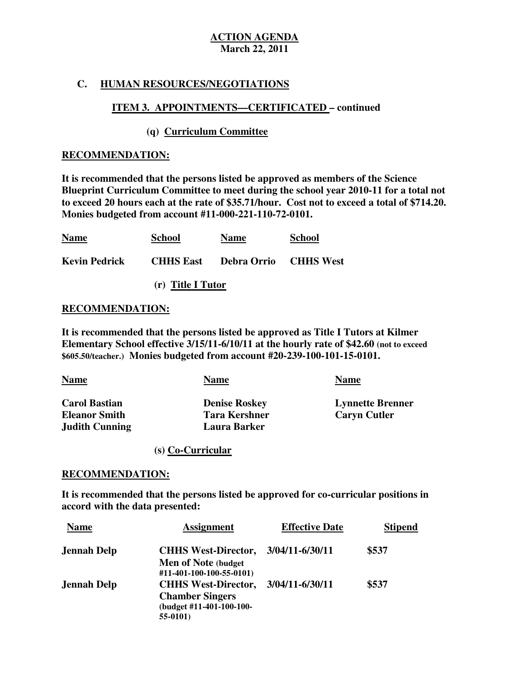# **C. HUMAN RESOURCES/NEGOTIATIONS**

# **ITEM 3. APPOINTMENTS—CERTIFICATED – continued**

# **(q) Curriculum Committee**

## **RECOMMENDATION:**

 **It is recommended that the persons listed be approved as members of the Science Blueprint Curriculum Committee to meet during the school year 2010-11 for a total not to exceed 20 hours each at the rate of \$35.71/hour. Cost not to exceed a total of \$714.20. Monies budgeted from account #11-000-221-110-72-0101.** 

| <b>Name</b>                                          | <b>School</b>     | <b>Name</b> | <b>School</b> |
|------------------------------------------------------|-------------------|-------------|---------------|
| <b>Kevin Pedrick CHHS East Debra Orrio CHHS West</b> |                   |             |               |
|                                                      | (r) Title I Tutor |             |               |

## **RECOMMENDATION:**

 **It is recommended that the persons listed be approved as Title I Tutors at Kilmer Elementary School effective 3/15/11-6/10/11 at the hourly rate of \$42.60 (not to exceed \$605.50/teacher.) Monies budgeted from account #20-239-100-101-15-0101.** 

| <b>Name</b>           | Name                 | <b>Name</b>             |
|-----------------------|----------------------|-------------------------|
| <b>Carol Bastian</b>  | <b>Denise Roskey</b> | <b>Lynnette Brenner</b> |
| <b>Eleanor Smith</b>  | <b>Tara Kershner</b> | <b>Caryn Cutler</b>     |
| <b>Judith Cunning</b> | <b>Laura Barker</b>  |                         |

### **(s) Co-Curricular**

### **RECOMMENDATION:**

 **It is recommended that the persons listed be approved for co-curricular positions in accord with the data presented:** 

| <b>Name</b>        | <b>Assignment</b>          | <b>Effective Date</b> | <b>Stipend</b> |
|--------------------|----------------------------|-----------------------|----------------|
| <b>Jennah Delp</b> | <b>CHHS West-Director,</b> | 3/04/11-6/30/11       | \$537          |
|                    | Men of Note (budget        |                       |                |
|                    | #11-401-100-100-55-0101)   |                       |                |
| <b>Jennah Delp</b> | <b>CHHS West-Director,</b> | 3/04/11-6/30/11       | \$537          |
|                    | <b>Chamber Singers</b>     |                       |                |
|                    | (budget #11-401-100-100-   |                       |                |
|                    | $55-0101$                  |                       |                |
|                    |                            |                       |                |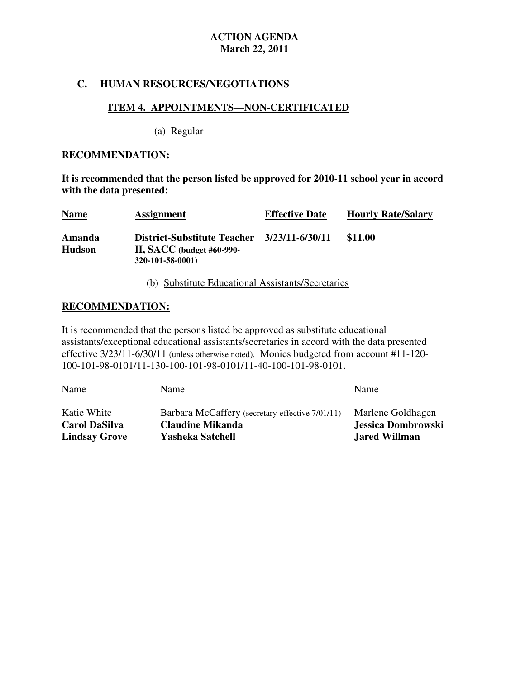# **C. HUMAN RESOURCES/NEGOTIATIONS**

### **ITEM 4. APPOINTMENTS—NON-CERTIFICATED**  ٦

(a) Regular

## **RECOMMENDATION:**

 **It is recommended that the person listed be approved for 2010-11 school year in accord with the data presented:** 

| <b>Name</b>             | <b>Assignment</b>                                                                   | <b>Effective Date</b> | <b>Hourly Rate/Salary</b> |
|-------------------------|-------------------------------------------------------------------------------------|-----------------------|---------------------------|
| Amanda<br><b>Hudson</b> | <b>District-Substitute Teacher</b><br>II, SACC (budget #60-990-<br>320-101-58-0001) | 3/23/11-6/30/11       | \$11.00                   |

(b) Substitute Educational Assistants/Secretaries

# **RECOMMENDATION:**

 It is recommended that the persons listed be approved as substitute educational assistants/exceptional educational assistants/secretaries in accord with the data presented effective  $3/23/11$ -6/30/11 (unless otherwise noted). Monies budgeted from account #11-120-100-101-98-0101/11-130-100-101-98-0101/11-40-100-101-98-0101.

| Name                 | Name                                            | Name                 |
|----------------------|-------------------------------------------------|----------------------|
| Katie White          | Barbara McCaffery (secretary-effective 7/01/11) | Marlene Goldhagen    |
| <b>Carol DaSilva</b> | <b>Claudine Mikanda</b>                         | Jessica Dombrowski   |
| <b>Lindsay Grove</b> | <b>Yasheka Satchell</b>                         | <b>Jared Willman</b> |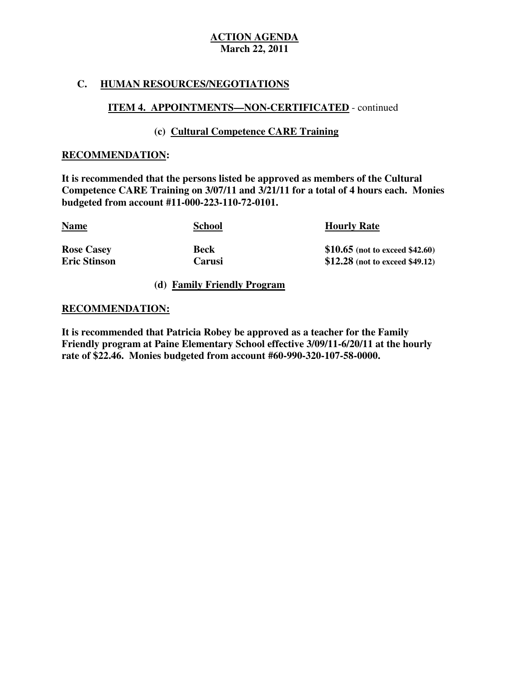# **C. HUMAN RESOURCES/NEGOTIATIONS**

# **ITEM 4. APPOINTMENTS—NON-CERTIFICATED** - continued

# **(c) Cultural Competence CARE Training**

# **RECOMMENDATION:**

 **It is recommended that the persons listed be approved as members of the Cultural Competence CARE Training on 3/07/11 and 3/21/11 for a total of 4 hours each. Monies budgeted from account #11-000-223-110-72-0101.** 

| <u>Name</u>         | <b>School</b> | <b>Hourly Rate</b>               |
|---------------------|---------------|----------------------------------|
| <b>Rose Casey</b>   | <b>Beck</b>   | \$10.65 (not to exceed \$42.60)  |
| <b>Eric Stinson</b> | Carusi        | $$12.28$ (not to exceed \$49.12) |

**(d) Family Friendly Program** 

### **RECOMMENDATION:**

 **It is recommended that Patricia Robey be approved as a teacher for the Family Friendly program at Paine Elementary School effective 3/09/11-6/20/11 at the hourly rate of \$22.46. Monies budgeted from account #60-990-320-107-58-0000.**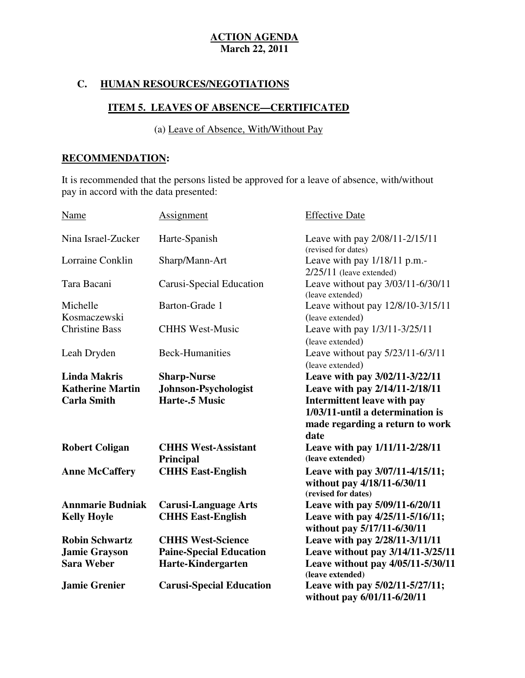# **C. HUMAN RESOURCES/NEGOTIATIONS**

# **ITEM 5. LEAVES OF ABSENCE—CERTIFICATED**

(a) Leave of Absence, With/Without Pay

# **RECOMMENDATION:**

 It is recommended that the persons listed be approved for a leave of absence, with/without pay in accord with the data presented:

| Name                     | Assignment                              | <b>Effective Date</b>                                                                 |
|--------------------------|-----------------------------------------|---------------------------------------------------------------------------------------|
| Nina Israel-Zucker       | Harte-Spanish                           | Leave with pay 2/08/11-2/15/11<br>(revised for dates)                                 |
| Lorraine Conklin         | Sharp/Mann-Art                          | Leave with pay 1/18/11 p.m.-<br>$2/25/11$ (leave extended)                            |
| Tara Bacani              | Carusi-Special Education                | Leave without pay 3/03/11-6/30/11<br>(leave extended)                                 |
| Michelle<br>Kosmaczewski | Barton-Grade 1                          | Leave without pay 12/8/10-3/15/11<br>(leave extended)                                 |
| <b>Christine Bass</b>    | <b>CHHS West-Music</b>                  | Leave with pay 1/3/11-3/25/11<br>(leave extended)                                     |
| Leah Dryden              | <b>Beck-Humanities</b>                  | Leave without pay 5/23/11-6/3/11<br>(leave extended)                                  |
| <b>Linda Makris</b>      | <b>Sharp-Nurse</b>                      | Leave with pay 3/02/11-3/22/11                                                        |
| <b>Katherine Martin</b>  | Johnson-Psychologist                    | Leave with pay 2/14/11-2/18/11                                                        |
| <b>Carla Smith</b>       | Harte-.5 Music                          | Intermittent leave with pay                                                           |
|                          |                                         | 1/03/11-until a determination is<br>made regarding a return to work<br>date           |
| <b>Robert Coligan</b>    | <b>CHHS West-Assistant</b><br>Principal | Leave with pay $1/11/11-2/28/11$<br>(leave extended)                                  |
| <b>Anne McCaffery</b>    | <b>CHHS East-English</b>                | Leave with pay 3/07/11-4/15/11;<br>without pay 4/18/11-6/30/11<br>(revised for dates) |
| <b>Annmarie Budniak</b>  | <b>Carusi-Language Arts</b>             | Leave with pay 5/09/11-6/20/11                                                        |
| <b>Kelly Hoyle</b>       | <b>CHHS East-English</b>                | Leave with pay 4/25/11-5/16/11;<br>without pay 5/17/11-6/30/11                        |
| <b>Robin Schwartz</b>    | <b>CHHS West-Science</b>                | Leave with pay 2/28/11-3/11/11                                                        |
| <b>Jamie Grayson</b>     | <b>Paine-Special Education</b>          | Leave without pay 3/14/11-3/25/11                                                     |
| <b>Sara Weber</b>        | <b>Harte-Kindergarten</b>               | Leave without pay 4/05/11-5/30/11<br>(leave extended)                                 |
| <b>Jamie Grenier</b>     | <b>Carusi-Special Education</b>         | Leave with pay 5/02/11-5/27/11;<br>without pay 6/01/11-6/20/11                        |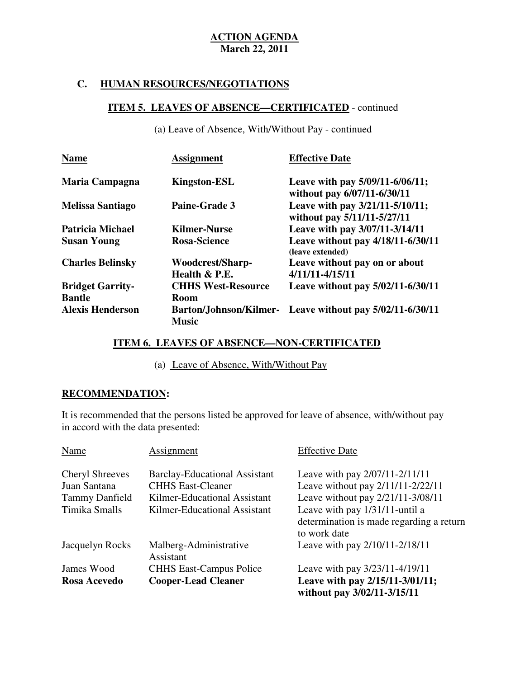# **C. HUMAN RESOURCES/NEGOTIATIONS**

# **ITEM 5. LEAVES OF ABSENCE—CERTIFICATED** - continued

(a) Leave of Absence, With/Without Pay - continued

| <b>Name</b>             | <b>Assignment</b>         | <b>Effective Date</b>                                          |
|-------------------------|---------------------------|----------------------------------------------------------------|
| Maria Campagna          | <b>Kingston-ESL</b>       | Leave with pay 5/09/11-6/06/11;<br>without pay 6/07/11-6/30/11 |
| <b>Melissa Santiago</b> | <b>Paine-Grade 3</b>      | Leave with pay 3/21/11-5/10/11;<br>without pay 5/11/11-5/27/11 |
| <b>Patricia Michael</b> | <b>Kilmer-Nurse</b>       | Leave with pay 3/07/11-3/14/11                                 |
| <b>Susan Young</b>      | <b>Rosa-Science</b>       | Leave without pay 4/18/11-6/30/11<br>(leave extended)          |
| <b>Charles Belinsky</b> | Woodcrest/Sharp-          | Leave without pay on or about                                  |
|                         | Health & P.E.             | 4/11/11-4/15/11                                                |
| <b>Bridget Garrity-</b> | <b>CHHS West-Resource</b> | Leave without pay 5/02/11-6/30/11                              |
| <b>Bantle</b>           | <b>Room</b>               |                                                                |
| <b>Alexis Henderson</b> | <b>Music</b>              | Barton/Johnson/Kilmer- Leave without pay 5/02/11-6/30/11       |

# **ITEM 6. LEAVES OF ABSENCE—NON-CERTIFICATED**

(a) Leave of Absence, With/Without Pay

### ٦ **RECOMMENDATION:**

 It is recommended that the persons listed be approved for leave of absence, with/without pay in accord with the data presented:

| Name                                   | Assignment                                                       | <b>Effective Date</b>                                                                      |
|----------------------------------------|------------------------------------------------------------------|--------------------------------------------------------------------------------------------|
| <b>Cheryl Shreeves</b><br>Juan Santana | <b>Barclay-Educational Assistant</b><br><b>CHHS East-Cleaner</b> | Leave with pay 2/07/11-2/11/11<br>Leave without pay 2/11/11-2/22/11                        |
| <b>Tammy Danfield</b>                  | Kilmer-Educational Assistant                                     | Leave without pay 2/21/11-3/08/11                                                          |
| Timika Smalls                          | Kilmer-Educational Assistant                                     | Leave with pay 1/31/11-until a<br>determination is made regarding a return<br>to work date |
| Jacquelyn Rocks                        | Malberg-Administrative<br>Assistant                              | Leave with pay 2/10/11-2/18/11                                                             |
| James Wood                             | <b>CHHS East-Campus Police</b>                                   | Leave with pay 3/23/11-4/19/11                                                             |
| Rosa Acevedo                           | <b>Cooper-Lead Cleaner</b>                                       | Leave with pay 2/15/11-3/01/11;<br>without pay 3/02/11-3/15/11                             |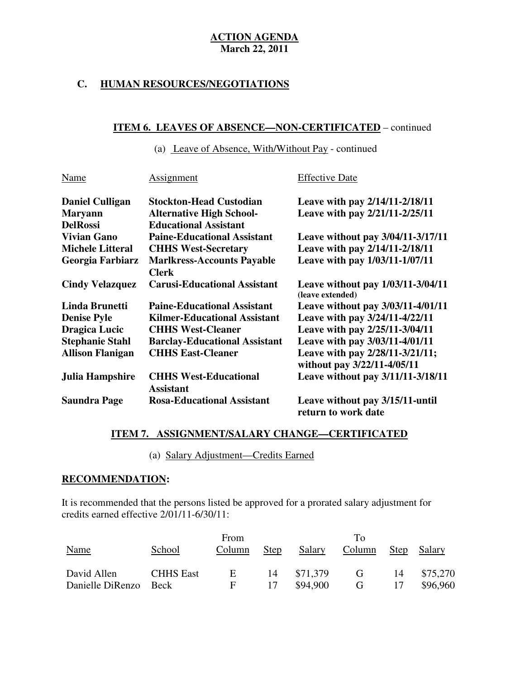# **C. HUMAN RESOURCES/NEGOTIATIONS**

# **ITEM 6. LEAVES OF ABSENCE—NON-CERTIFICATED** – continued

(a) Leave of Absence, With/Without Pay - continued

| Name                    | <b>Assignment</b>                    | <b>Effective Date</b>                                          |
|-------------------------|--------------------------------------|----------------------------------------------------------------|
| <b>Daniel Culligan</b>  | <b>Stockton-Head Custodian</b>       | Leave with pay 2/14/11-2/18/11                                 |
| <b>Maryann</b>          | <b>Alternative High School-</b>      | Leave with pay 2/21/11-2/25/11                                 |
| <b>DelRossi</b>         | <b>Educational Assistant</b>         |                                                                |
| <b>Vivian Gano</b>      | <b>Paine-Educational Assistant</b>   | Leave without pay 3/04/11-3/17/11                              |
| <b>Michele Litteral</b> | <b>CHHS West-Secretary</b>           | Leave with pay 2/14/11-2/18/11                                 |
| Georgia Farbiarz        | <b>Marlkress-Accounts Payable</b>    | Leave with pay 1/03/11-1/07/11                                 |
|                         | <b>Clerk</b>                         |                                                                |
| <b>Cindy Velazquez</b>  | <b>Carusi-Educational Assistant</b>  | Leave without pay 1/03/11-3/04/11<br>(leave extended)          |
| <b>Linda Brunetti</b>   | <b>Paine-Educational Assistant</b>   | Leave without pay 3/03/11-4/01/11                              |
| <b>Denise Pyle</b>      | <b>Kilmer-Educational Assistant</b>  | Leave with pay 3/24/11-4/22/11                                 |
| <b>Dragica Lucic</b>    | <b>CHHS West-Cleaner</b>             | Leave with pay 2/25/11-3/04/11                                 |
| <b>Stephanie Stahl</b>  | <b>Barclay-Educational Assistant</b> | Leave with pay 3/03/11-4/01/11                                 |
| <b>Allison Flanigan</b> | <b>CHHS East-Cleaner</b>             | Leave with pay 2/28/11-3/21/11;<br>without pay 3/22/11-4/05/11 |
| Julia Hampshire         | <b>CHHS West-Educational</b>         | Leave without pay 3/11/11-3/18/11                              |
|                         | <b>Assistant</b>                     |                                                                |
| <b>Saundra Page</b>     | <b>Rosa-Educational Assistant</b>    | Leave without pay 3/15/11-until<br>return to work date         |

# **ITEM 7. ASSIGNMENT/SALARY CHANGE—CERTIFICATED**

(a) Salary Adjustment—Credits Earned

# **RECOMMENDATION:**

 It is recommended that the persons listed be approved for a prorated salary adjustment for credits earned effective  $2/01/11-6/30/11$ :

| Name             | School           | From<br>Column | <b>Step</b> | Salary   | Tο<br>Column | <b>Step</b> | Salary   |
|------------------|------------------|----------------|-------------|----------|--------------|-------------|----------|
| David Allen      | <b>CHHS East</b> | Ε              | 14          | \$71,379 | G            | 14          | \$75,270 |
| Danielle DiRenzo | <b>Beck</b>      | F              | 17          | \$94,900 | G            | 17          | \$96,960 |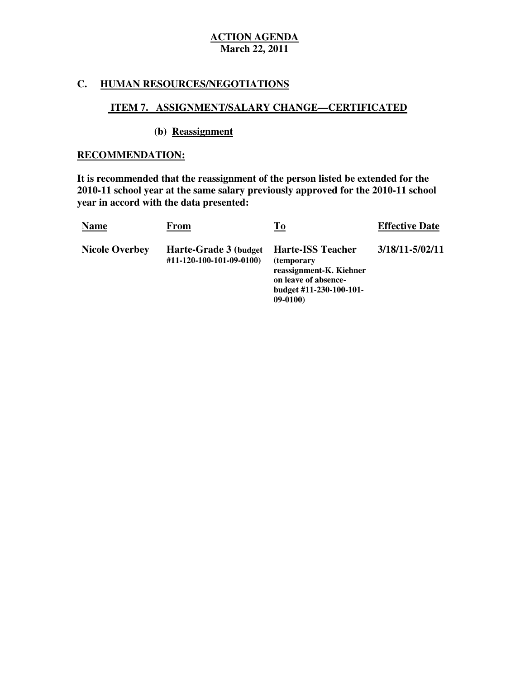# **C. HUMAN RESOURCES/NEGOTIATIONS**

# **ITEM 7. ASSIGNMENT/SALARY CHANGE—CERTIFICATED**

## **(b) Reassignment**

## **RECOMMENDATION:**

 **It is recommended that the reassignment of the person listed be extended for the 2010-11 school year at the same salary previously approved for the 2010-11 school year in accord with the data presented:** 

| <b>Name</b>           | From                                               | <u>To</u>                                                                                                                                 | <b>Effective Date</b> |
|-----------------------|----------------------------------------------------|-------------------------------------------------------------------------------------------------------------------------------------------|-----------------------|
| <b>Nicole Overbey</b> | Harte-Grade 3 (budget)<br>#11-120-100-101-09-0100) | <b>Harte-ISS Teacher</b><br><i>(temporary)</i><br>reassignment-K. Kiehner<br>on leave of absence-<br>budget #11-230-100-101-<br>$09-0100$ | 3/18/11-5/02/11       |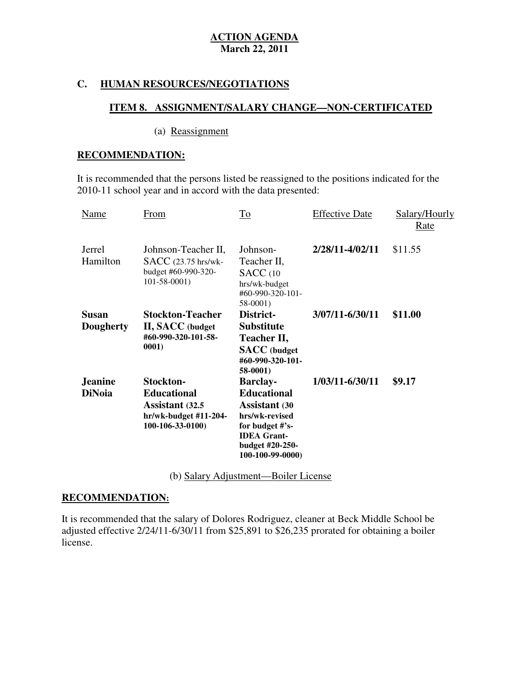# **C. HUMAN RESOURCES/NEGOTIATIONS**

# **ITEM 8. ASSIGNMENT/SALARY CHANGE—NON-CERTIFICATED**

## (a) Reassignment

# **RECOMMENDATION:**

 It is recommended that the persons listed be reassigned to the positions indicated for the 2010-11 school year and in accord with the data presented:

| Name                             | From                                                                                              | To                                                                                                                                                              | <b>Effective Date</b> | Salary/Hourly<br><u>Rate</u> |
|----------------------------------|---------------------------------------------------------------------------------------------------|-----------------------------------------------------------------------------------------------------------------------------------------------------------------|-----------------------|------------------------------|
| Jerrel<br>Hamilton               | Johnson-Teacher II,<br><b>SACC</b> (23.75 hrs/wk-<br>budget #60-990-320-<br>$101 - 58 - 0001$     | Johnson-<br>Teacher II,<br><b>SACC</b> (10<br>hrs/wk-budget<br>#60-990-320-101-<br>58-0001)                                                                     | 2/28/11-4/02/11       | \$11.55                      |
| <b>Susan</b><br><b>Dougherty</b> | <b>Stockton-Teacher</b><br><b>II, SACC</b> (budget<br>#60-990-320-101-58-<br>0001)                | District-<br><b>Substitute</b><br>Teacher II,<br><b>SACC</b> (budget<br>#60-990-320-101-<br>58-0001)                                                            | 3/07/11-6/30/11       | \$11.00                      |
| <b>Jeanine</b><br><b>DiNoia</b>  | Stockton-<br><b>Educational</b><br>Assistant (32.5)<br>hr/wk-budget #11-204-<br>$100-106-33-0100$ | <b>Barclay-</b><br><b>Educational</b><br><b>Assistant</b> (30<br>hrs/wk-revised<br>for budget #'s-<br><b>IDEA</b> Grant-<br>budget #20-250-<br>100-100-99-0000) | 1/03/11-6/30/11       | \$9.17                       |

(b) Salary Adjustment—Boiler License

# **RECOMMENDATION:**

 It is recommended that the salary of Dolores Rodriguez, cleaner at Beck Middle School be adjusted effective  $2/24/11 - 6/30/11$  from \$25,891 to \$26,235 prorated for obtaining a boiler license.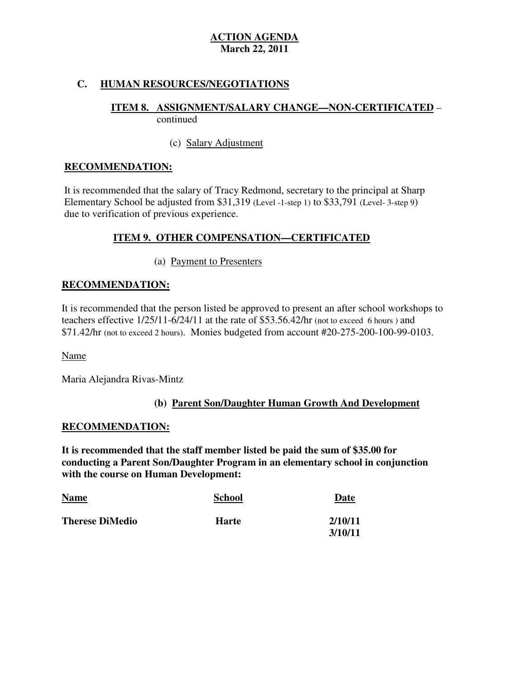# **C. HUMAN RESOURCES/NEGOTIATIONS**

# **ITEM 8. ASSIGNMENT/SALARY CHANGE—NON-CERTIFICATED** – continued

# (c) Salary Adjustment

# **RECOMMENDATION:**

 It is recommended that the salary of Tracy Redmond, secretary to the principal at Sharp Elementary School be adjusted from \$31,319 (Level -1-step 1) to \$33,791 (Level- 3-step 9) due to verification of previous experience.

# **ITEM 9. OTHER COMPENSATION—CERTIFICATED**

# (a) Payment to Presenters

# **RECOMMENDATION:**

 It is recommended that the person listed be approved to present an after school workshops to teachers effective  $1/25/11-6/24/11$  at the rate of \$53.56.42/hr (not to exceed 6 hours) and \$71.42/hr (not to exceed 2 hours). Monies budgeted from account #20-275-200-100-99-0103.

# Name

Maria Alejandra Rivas-Mintz

# **(b) Parent Son/Daughter Human Growth And Development**

# **RECOMMENDATION:**

 **It is recommended that the staff member listed be paid the sum of \$35.00 for conducting a Parent Son/Daughter Program in an elementary school in conjunction with the course on Human Development:** 

| <b>Name</b><br>$\sim$ $\sim$ | <b>School</b> | Date    |
|------------------------------|---------------|---------|
| <b>Therese DiMedio</b>       | <b>Harte</b>  | 2/10/11 |
|                              |               | 3/10/11 |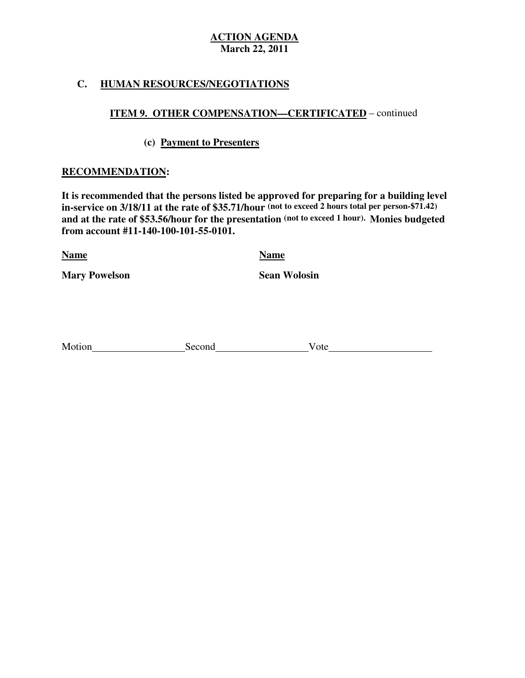# **C. HUMAN RESOURCES/NEGOTIATIONS**

# **ITEM 9. OTHER COMPENSATION—CERTIFICATED** – continued

# **(c) Payment to Presenters**

# **RECOMMENDATION:**

 **It is recommended that the persons listed be approved for preparing for a building level in-service on 3/18/11 at the rate of \$35.71/hour (not to exceed 2 hours total per person-\$71.42) and at the rate of \$53.56/hour for the presentation (not to exceed 1 hour). Monies budgeted from account #11-140-100-101-55-0101.** 

**Name Name** 

**Mary Powelson Sean Wolosin** 

| Motion | Second | Vote |
|--------|--------|------|
|        |        |      |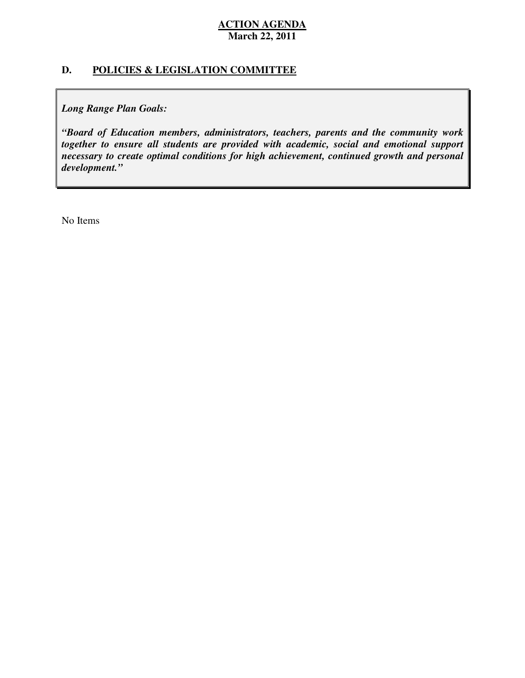# **D. POLICIES & LEGISLATION COMMITTEE**

 *Long Range Plan Goals:* 

 *"Board of Education members, administrators, teachers, parents and the community work together to ensure all students are provided with academic, social and emotional support necessary to create optimal conditions for high achievement, continued growth and personal development."* 

No Items